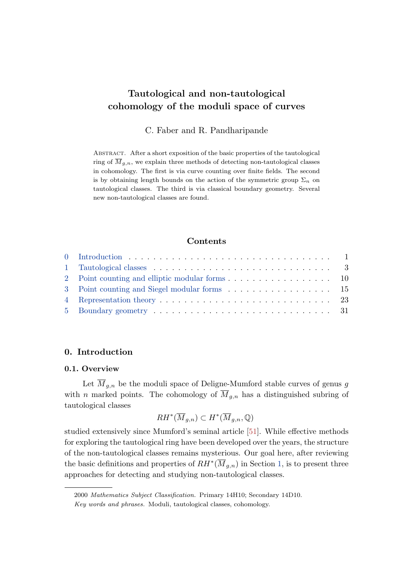C. Faber and R. Pandharipande

<span id="page-0-0"></span>Abstract. After a short exposition of the basic properties of the tautological ring of  $\overline{M}_{g,n}$ , we explain three methods of detecting non-tautological classes in cohomology. The first is via curve counting over finite fields. The second is by obtaining length bounds on the action of the symmetric group  $\Sigma_n$  on tautological classes. The third is via classical boundary geometry. Several new non-tautological classes are found.

## Contents

#### 0. Introduction

## 0.1. Overview

Let  $\overline{M}_{g,n}$  be the moduli space of Deligne-Mumford stable curves of genus g with *n* marked points. The cohomology of  $\overline{M}_{g,n}$  has a distinguished subring of tautological classes

$$
RH^*(\overline{M}_{g,n}) \subset H^*(\overline{M}_{g,n},\mathbb{Q})
$$

studied extensively since Mumford's seminal article [\[51\]](#page-37-0). While effective methods for exploring the tautological ring have been developed over the years, the structure of the non-tautological classes remains mysterious. Our goal here, after reviewing the basic definitions and properties of  $RH^*(\overline{M}_{g,n})$  in Section [1,](#page-2-0) is to present three approaches for detecting and studying non-tautological classes.

<sup>2000</sup> Mathematics Subject Classification. Primary 14H10; Secondary 14D10. Key words and phrases. Moduli, tautological classes, cohomology.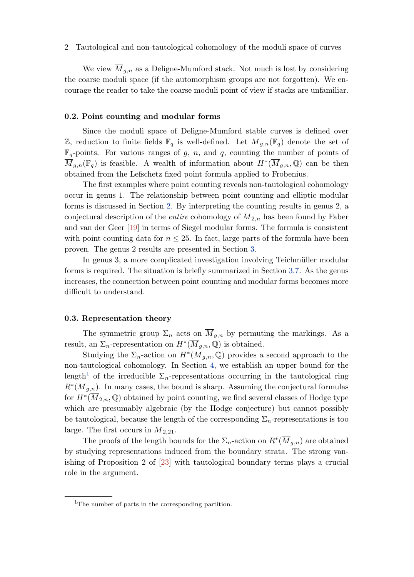<span id="page-1-0"></span>We view  $\overline{M}_{g,n}$  as a Deligne-Mumford stack. Not much is lost by considering the coarse moduli space (if the automorphism groups are not forgotten). We encourage the reader to take the coarse moduli point of view if stacks are unfamiliar.

## 0.2. Point counting and modular forms

Since the moduli space of Deligne-Mumford stable curves is defined over Z, reduction to finite fields  $\mathbb{F}_q$  is well-defined. Let  $\overline{M}_{g,n}(\mathbb{F}_q)$  denote the set of  $\mathbb{F}_q$ -points. For various ranges of g, n, and q, counting the number of points of  $\overline{M}_{g,n}(\mathbb{F}_q)$  is feasible. A wealth of information about  $H^*(\overline{M}_{g,n},\mathbb{Q})$  can be then obtained from the Lefschetz fixed point formula applied to Frobenius.

The first examples where point counting reveals non-tautological cohomology occur in genus 1. The relationship between point counting and elliptic modular forms is discussed in Section [2.](#page-9-0) By interpreting the counting results in genus 2, a conjectural description of the *entire* cohomology of  $\overline{M}_{2,n}$  has been found by Faber and van der Geer [\[19\]](#page-35-0) in terms of Siegel modular forms. The formula is consistent with point counting data for  $n \leq 25$ . In fact, large parts of the formula have been proven. The genus 2 results are presented in Section [3.](#page-14-0)

In genus 3, a more complicated investigation involving Teichmüller modular forms is required. The situation is briefly summarized in Section [3.7.](#page-21-0) As the genus increases, the connection between point counting and modular forms becomes more difficult to understand.

#### 0.3. Representation theory

The symmetric group  $\Sigma_n$  acts on  $\overline{M}_{g,n}$  by permuting the markings. As a result, an  $\Sigma_n$ -representation on  $H^*(\overline{M}_{g,n}, \mathbb{Q})$  is obtained.

Studying the  $\Sigma_n$ -action on  $H^*(\overline{M}_{g,n},\mathbb{Q})$  provides a second approach to the non-tautological cohomology. In Section [4,](#page-22-0) we establish an upper bound for the length<sup>1</sup> of the irreducible  $\Sigma_n$ -representations occurring in the tautological ring  $R^*(\overline{M}_{g,n})$ . In many cases, the bound is sharp. Assuming the conjectural formulas for  $H^*(\overline{M}_{2,n},\mathbb{Q})$  obtained by point counting, we find several classes of Hodge type which are presumably algebraic (by the Hodge conjecture) but cannot possibly be tautological, because the length of the corresponding  $\Sigma_n$ -representations is too large. The first occurs in  $M_{2,21}$ .

The proofs of the length bounds for the  $\Sigma_n$ -action on  $R^*(\overline{M}_{g,n})$  are obtained by studying representations induced from the boundary strata. The strong vanishing of Proposition 2 of [\[23\]](#page-35-0) with tautological boundary terms plays a crucial role in the argument.

<sup>&</sup>lt;sup>1</sup>The number of parts in the corresponding partition.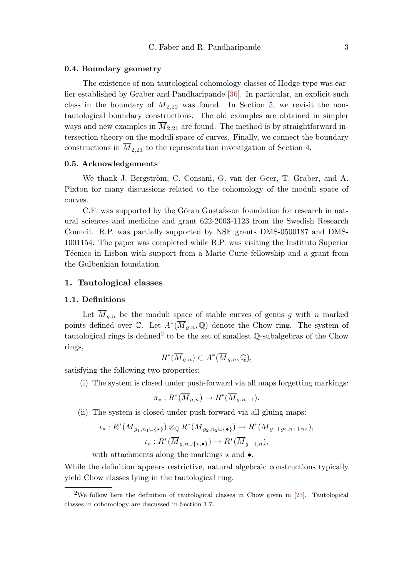#### <span id="page-2-0"></span>0.4. Boundary geometry

The existence of non-tautological cohomology classes of Hodge type was earlier established by Graber and Pandharipande [\[36\]](#page-36-0). In particular, an explicit such class in the boundary of  $\overline{M}_{2,22}$  was found. In Section [5,](#page-30-0) we revisit the nontautological boundary constructions. The old examples are obtained in simpler ways and new examples in  $\overline{M}_{2,21}$  are found. The method is by straightforward intersection theory on the moduli space of curves. Finally, we connect the boundary constructions in  $\overline{M}_{2,21}$  to the representation investigation of Section [4.](#page-22-0)

## 0.5. Acknowledgements

We thank J. Bergström, C. Consani, G. van der Geer, T. Graber, and A. Pixton for many discussions related to the cohomology of the moduli space of curves.

C.F. was supported by the Göran Gustafsson foundation for research in natural sciences and medicine and grant 622-2003-1123 from the Swedish Research Council. R.P. was partially supported by NSF grants DMS-0500187 and DMS-1001154. The paper was completed while R.P. was visiting the Instituto Superior Técnico in Lisbon with support from a Marie Curie fellowship and a grant from the Gulbenkian foundation.

## 1. Tautological classes

## 1.1. Definitions

Let  $M_{g,n}$  be the moduli space of stable curves of genus g with n marked points defined over  $\mathbb{C}$ . Let  $A^*(\overline{M}_{g,n}, \mathbb{Q})$  denote the Chow ring. The system of tautological rings is defined<sup>2</sup> to be the set of smallest  $\mathbb Q$ -subalgebras of the Chow rings,

$$
R^*(\overline{M}_{g,n}) \subset A^*(\overline{M}_{g,n},\mathbb{Q}),
$$

satisfying the following two properties:

(i) The system is closed under push-forward via all maps forgetting markings:

$$
\pi_*: R^*(\overline{M}_{g,n}) \to R^*(\overline{M}_{g,n-1}).
$$

(ii) The system is closed under push-forward via all gluing maps:

$$
\iota_*: R^*(\overline{M}_{g_1, n_1 \cup \{\star\}}) \otimes_{\mathbb{Q}} R^*(\overline{M}_{g_2, n_2 \cup \{\bullet\}}) \to R^*(\overline{M}_{g_1+g_2, n_1+n_2}),
$$

$$
\iota_*: R^*(\overline{M}_{g,n \cup \{\star,\bullet\}}) \to R^*(\overline{M}_{g+1,n}),
$$

with attachments along the markings  $\star$  and  $\bullet$ .

While the definition appears restrictive, natural algebraic constructions typically yield Chow classes lying in the tautological ring.

<sup>2</sup>We follow here the definition of tautological classes in Chow given in [\[23\]](#page-35-0). Tautological classes in cohomology are discussed in Section [1.7.](#page-8-0)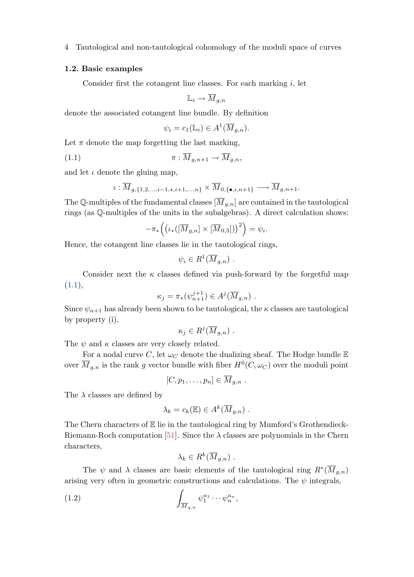#### <span id="page-3-0"></span>1.2. Basic examples

Consider first the cotangent line classes. For each marking  $i$ , let

$$
\mathbb{L}_i \to \overline{M}_{g,n}
$$

denote the associated cotangent line bundle. By definition

$$
\psi_i = c_1(\mathbb{L}_i) \in A^1(\overline{M}_{g,n}).
$$

Let  $\pi$  denote the map forgetting the last marking,

(1.1) 
$$
\pi: \overline{M}_{g,n+1} \to \overline{M}_{g,n},
$$

and let  $\iota$  denote the gluing map,

$$
\iota: \overline{M}_{g,\{1,2,\dots,i-1,\star,i+1,\dots,n\}} \times \overline{M}_{0,\{\bullet,i,n+1\}} \longrightarrow \overline{M}_{g,n+1}.
$$

The Q-multiples of the fundamental classes  $[\overline{M}_{g,n}]$  are contained in the tautological rings (as Q-multiples of the units in the subalgebras). A direct calculation shows:

$$
-\pi_*\Big(\big(\iota_*([\overline{M}_{g,n}]\times[\overline{M}_{0,3}])\big)^2\Big)=\psi_i.
$$

Hence, the cotangent line classes lie in the tautological rings,

$$
\psi_i \in R^1(\overline{M}_{g,n}) \ .
$$

Consider next the  $\kappa$  classes defined via push-forward by the forgetful map  $(1.1),$ 

$$
\kappa_j = \pi_*\big(\psi_{n+1}^{j+1}\big) \in A^j(\overline{M}_{g,n}) \ .
$$

Since  $\psi_{n+1}$  has already been shown to be tautological, the  $\kappa$  classes are tautological by property (i),

$$
\kappa_j \in R^j(\overline{M}_{g,n}) \ .
$$

The  $\psi$  and  $\kappa$  classes are very closely related.

For a nodal curve C, let  $\omega_C$  denote the dualizing sheaf. The Hodge bundle E over  $\overline{M}_{g,n}$  is the rank g vector bundle with fiber  $H^0(C, \omega_C)$  over the moduli point

$$
[C,p_1,\ldots,p_n]\in \overline{M}_{g,n} .
$$

The  $\lambda$  classes are defined by

$$
\lambda_k = c_k(\mathbb{E}) \in A^k(\overline{M}_{g,n}) \ .
$$

The Chern characters of  $E$  lie in the tautological ring by Mumford's Grothendieck-Riemann-Roch computation [\[51\]](#page-37-0). Since the  $\lambda$  classes are polynomials in the Chern characters,

$$
\lambda_k \in R^k(\overline{M}_{g,n}) \ .
$$

The  $\psi$  and  $\lambda$  classes are basic elements of the tautological ring  $R^*(\overline{M}_{g,n})$ arising very often in geometric constructions and calculations. The  $\psi$  integrals,

$$
(1.2) \qquad \qquad \int_{\overline{M}_{g,n}} \psi_1^{a_1} \cdots \psi_n^{a_n},
$$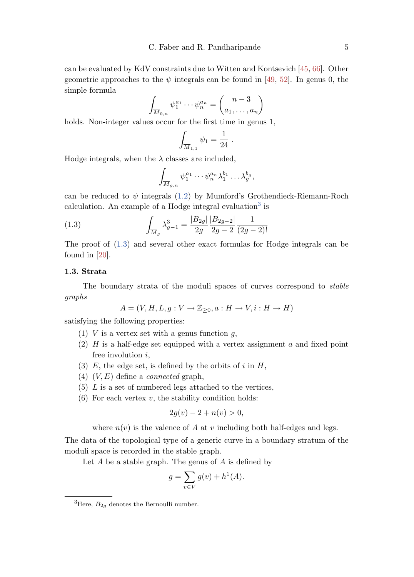<span id="page-4-0"></span>can be evaluated by KdV constraints due to Witten and Kontsevich [\[45,](#page-37-0) [66\]](#page-38-0). Other geometric approaches to the  $\psi$  integrals can be found in [\[49,](#page-37-0) [52\]](#page-37-0). In genus 0, the simple formula

$$
\int_{\overline{M}_{0,n}} \psi_1^{a_1} \cdots \psi_n^{a_n} = \binom{n-3}{a_1, \dots, a_n}
$$

holds. Non-integer values occur for the first time in genus 1,

$$
\int_{\overline{M}_{1,1}} \psi_1 = \frac{1}{24} .
$$

Hodge integrals, when the  $\lambda$  classes are included,

$$
\int_{\overline{M}_{g,n}} \psi_1^{a_1} \cdots \psi_n^{a_n} \lambda_1^{b_1} \cdots \lambda_g^{b_g},
$$

can be reduced to  $\psi$  integrals [\(1.2\)](#page-3-0) by Mumford's Grothendieck-Riemann-Roch calculation. An example of a Hodge integral evaluation<sup>3</sup> is

(1.3) 
$$
\int_{\overline{M}_g} \lambda_{g-1}^3 = \frac{|B_{2g}|}{2g} \frac{|B_{2g-2}|}{2g-2} \frac{1}{(2g-2)!}
$$

The proof of (1.3) and several other exact formulas for Hodge integrals can be found in [\[20\]](#page-35-0).

## 1.3. Strata

The boundary strata of the moduli spaces of curves correspond to stable graphs

$$
A = (V, H, L, g: V \to \mathbb{Z}_{\geq 0}, a: H \to V, i: H \to H)
$$

satisfying the following properties:

- (1) V is a vertex set with a genus function  $q$ ,
- (2)  $H$  is a half-edge set equipped with a vertex assignment  $a$  and fixed point free involution  $i$ ,
- (3) E, the edge set, is defined by the orbits of  $i$  in  $H$ ,
- (4)  $(V, E)$  define a *connected* graph,
- $(5)$  L is a set of numbered legs attached to the vertices,
- $(6)$  For each vertex v, the stability condition holds:

$$
2g(v) - 2 + n(v) > 0,
$$

where  $n(v)$  is the valence of A at v including both half-edges and legs.

The data of the topological type of a generic curve in a boundary stratum of the moduli space is recorded in the stable graph.

Let  $A$  be a stable graph. The genus of  $A$  is defined by

$$
g = \sum_{v \in V} g(v) + h^1(A).
$$

<sup>&</sup>lt;sup>3</sup>Here,  $B_{2q}$  denotes the Bernoulli number.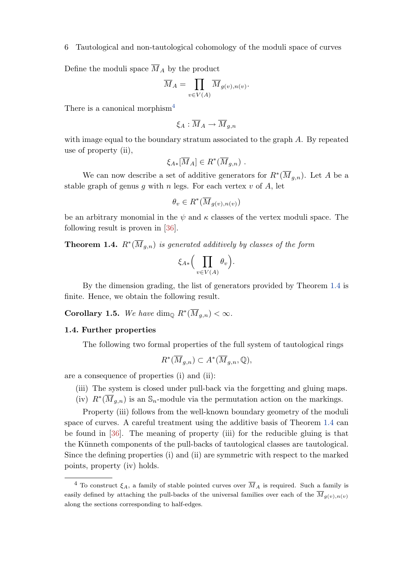<span id="page-5-0"></span>Define the moduli space  $\overline{M}_A$  by the product

$$
\overline{M}_A = \prod_{v \in V(A)} \overline{M}_{g(v), n(v)}.
$$

There is a canonical morphism<sup>4</sup>

$$
\xi_A:\overline{M}_A\to \overline{M}_{g,n}
$$

with image equal to the boundary stratum associated to the graph A. By repeated use of property (ii),

$$
\xi_{A*}[\overline{M}_A] \in R^*(\overline{M}_{g,n}) .
$$

We can now describe a set of additive generators for  $R^*(\overline{M}_{g,n})$ . Let A be a stable graph of genus q with n legs. For each vertex  $v$  of  $A$ , let

$$
\theta_v \in R^*(\overline{M}_{g(v),n(v)})
$$

be an arbitrary monomial in the  $\psi$  and  $\kappa$  classes of the vertex moduli space. The following result is proven in [\[36\]](#page-36-0).

**Theorem 1.4.**  $R^*(\overline{M}_{g,n})$  is generated additively by classes of the form

$$
\xi_{A*}\Big(\prod_{v\in V(A)}\theta_v\Big).
$$

By the dimension grading, the list of generators provided by Theorem 1.4 is finite. Hence, we obtain the following result.

**Corollary 1.5.** We have dim<sub>Q</sub>  $R^*(\overline{M}_{g,n}) < \infty$ .

#### 1.4. Further properties

The following two formal properties of the full system of tautological rings

$$
R^*(\overline{M}_{g,n}) \subset A^*(\overline{M}_{g,n}, \mathbb{Q}),
$$

are a consequence of properties (i) and (ii):

- (iii) The system is closed under pull-back via the forgetting and gluing maps.
- (iv)  $R^*(\overline{M}_{g,n})$  is an  $\mathbb{S}_n$ -module via the permutation action on the markings.

Property (iii) follows from the well-known boundary geometry of the moduli space of curves. A careful treatment using the additive basis of Theorem 1.4 can be found in [\[36\]](#page-36-0). The meaning of property (iii) for the reducible gluing is that the Künneth components of the pull-backs of tautological classes are tautological. Since the defining properties (i) and (ii) are symmetric with respect to the marked points, property (iv) holds.

<sup>&</sup>lt;sup>4</sup> To construct  $\xi_A$ , a family of stable pointed curves over  $\overline{M}_A$  is required. Such a family is easily defined by attaching the pull-backs of the universal families over each of the  $\overline{M}_{q(y),n(v)}$ along the sections corresponding to half-edges.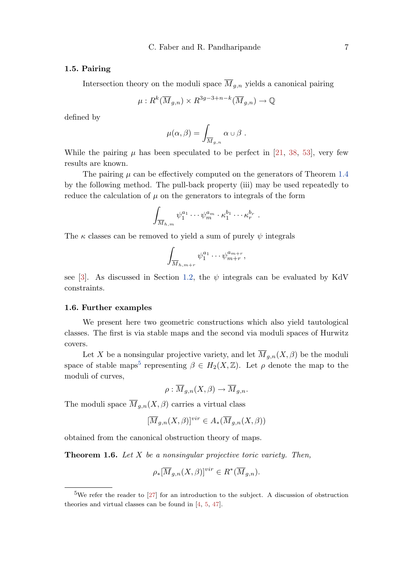#### <span id="page-6-0"></span>1.5. Pairing

Intersection theory on the moduli space  $\overline{M}_{g,n}$  yields a canonical pairing

$$
\mu: R^k(\overline{M}_{g,n}) \times R^{3g-3+n-k}(\overline{M}_{g,n}) \to \mathbb{Q}
$$

defined by

$$
\mu(\alpha,\beta)=\int_{\overline{M}_{g,n}}\alpha\cup\beta.
$$

While the pairing  $\mu$  has been speculated to be perfect in [\[21,](#page-35-0) [38,](#page-36-0) [53\]](#page-37-0), very few results are known.

The pairing  $\mu$  can be effectively computed on the generators of Theorem [1.4](#page-5-0) by the following method. The pull-back property (iii) may be used repeatedly to reduce the calculation of  $\mu$  on the generators to integrals of the form

$$
\int_{\overline{M}_{h,m}} \psi_1^{a_1} \cdots \psi_m^{a_m} \cdot \kappa_1^{b_1} \cdots \kappa_r^{b_r} .
$$

The  $\kappa$  classes can be removed to yield a sum of purely  $\psi$  integrals

$$
\int_{\overline{M}_{h,m+r}} \psi_1^{a_1} \cdots \psi_{m+r}^{a_{m+r}},
$$

see [\[3\]](#page-34-0). As discussed in Section [1.2,](#page-4-0) the  $\psi$  integrals can be evaluated by KdV constraints.

#### 1.6. Further examples

We present here two geometric constructions which also yield tautological classes. The first is via stable maps and the second via moduli spaces of Hurwitz covers.

Let X be a nonsingular projective variety, and let  $\overline{M}_{q,n}(X,\beta)$  be the moduli space of stable maps<sup>5</sup> representing  $\beta \in H_2(X,\mathbb{Z})$ . Let  $\rho$  denote the map to the moduli of curves,

$$
\rho: \overline{M}_{g,n}(X,\beta) \to \overline{M}_{g,n}.
$$

The moduli space  $\overline{M}_{g,n}(X,\beta)$  carries a virtual class

$$
[\overline{M}_{g,n}(X,\beta)]^{vir} \in A_*(\overline{M}_{g,n}(X,\beta))
$$

obtained from the canonical obstruction theory of maps.

**Theorem 1.6.** Let  $X$  be a nonsingular projective toric variety. Then,

$$
\rho_*[\overline{M}_{g,n}(X,\beta)]^{vir} \in R^*(\overline{M}_{g,n}).
$$

<sup>&</sup>lt;sup>5</sup>We refer the reader to [\[27\]](#page-36-0) for an introduction to the subject. A discussion of obstruction theories and virtual classes can be found in [\[4,](#page-34-0) [5,](#page-34-0) [47\]](#page-37-0).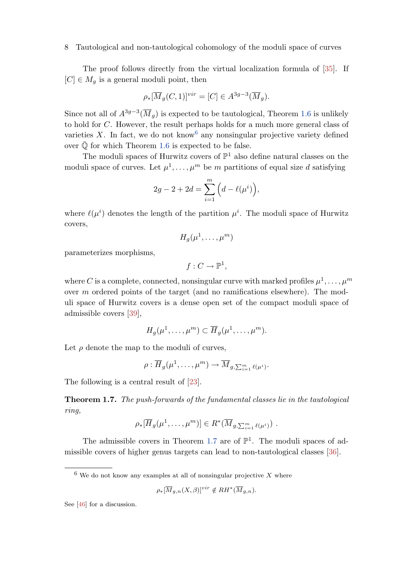<span id="page-7-0"></span>The proof follows directly from the virtual localization formula of [\[35\]](#page-36-0). If  $[C] \in M_q$  is a general moduli point, then

$$
\rho_*[\overline{M}_g(C,1)]^{vir} = [C] \in A^{3g-3}(\overline{M}_g).
$$

Since not all of  $A^{3g-3}(\overline{M}_g)$  is expected to be tautological, Theorem [1.6](#page-6-0) is unlikely to hold for C. However, the result perhaps holds for a much more general class of varieties X. In fact, we do not know  $6$  any nonsingular projective variety defined over  $\overline{\mathbb{Q}}$  for which Theorem [1.6](#page-6-0) is expected to be false.

The moduli spaces of Hurwitz covers of  $\mathbb{P}^1$  also define natural classes on the moduli space of curves. Let  $\mu^1, \ldots, \mu^m$  be m partitions of equal size d satisfying

$$
2g - 2 + 2d = \sum_{i=1}^{m} \left( d - \ell(\mu^{i}) \right),
$$

where  $\ell(\mu^i)$  denotes the length of the partition  $\mu^i$ . The moduli space of Hurwitz covers,

$$
H_g(\mu^1,\ldots,\mu^m)
$$

parameterizes morphisms,

$$
f:C\rightarrow \mathbb{P}^1,
$$

where C is a complete, connected, nonsingular curve with marked profiles  $\mu^1, \ldots, \mu^m$ over m ordered points of the target (and no ramifications elsewhere). The moduli space of Hurwitz covers is a dense open set of the compact moduli space of admissible covers [\[39\]](#page-36-0),

$$
H_g(\mu^1,\ldots,\mu^m) \subset \overline{H}_g(\mu^1,\ldots,\mu^m).
$$

Let  $\rho$  denote the map to the moduli of curves,

$$
\rho: \overline{H}_g(\mu^1,\ldots,\mu^m) \to \overline{M}_{g,\sum_{i=1}^m \ell(\mu^i)}.
$$

The following is a central result of [\[23\]](#page-35-0).

Theorem 1.7. The push-forwards of the fundamental classes lie in the tautological ring,

$$
\rho_*[\overline{H}_g(\mu^1,\ldots,\mu^m)] \in R^*(\overline{M}_{g,\sum_{i=1}^m \ell(\mu^i)})
$$

The admissible covers in Theorem 1.7 are of  $\mathbb{P}^1$ . The moduli spaces of admissible covers of higher genus targets can lead to non-tautological classes [\[36\]](#page-36-0).

$$
\rho_*[\overline{M}_{g,n}(X,\beta)]^{vir} \notin RH^*(\overline{M}_{g,n}).
$$

See [\[46\]](#page-37-0) for a discussion.

 $6$  We do not know any examples at all of nonsingular projective X where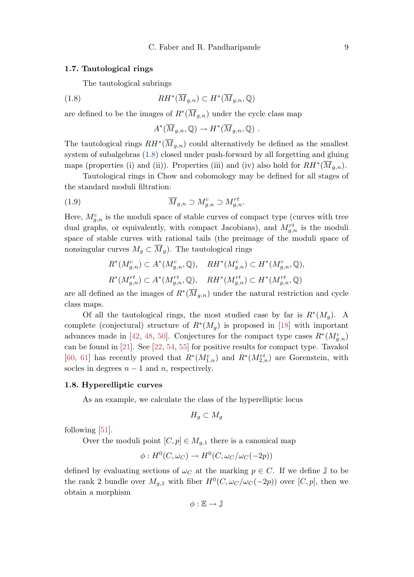#### <span id="page-8-0"></span>1.7. Tautological rings

The tautological subrings

(1.8) 
$$
RH^*(\overline{M}_{g,n}) \subset H^*(\overline{M}_{g,n},\mathbb{Q})
$$

are defined to be the images of  $R^*(\overline{M}_{g,n})$  under the cycle class map

 $A^*(\overline{M}_{g,n}, \mathbb{Q}) \to H^*(\overline{M}_{g,n}, \mathbb{Q})$ .

The tautological rings  $RH^*(\overline{M}_{g,n})$  could alternatively be defined as the smallest system of subalgebras (1.8) closed under push-forward by all forgetting and gluing maps (properties (i) and (ii)). Properties (iii) and (iv) also hold for  $RH^*(\overline{M}_{g,n})$ .

Tautological rings in Chow and cohomology may be defined for all stages of the standard moduli filtration:

(1.9) 
$$
\overline{M}_{g,n} \supset M_{g,n}^c \supset M_{g,n}^{rt}.
$$

Here,  $M_{g,n}^c$  is the moduli space of stable curves of compact type (curves with tree dual graphs, or equivalently, with compact Jacobians), and  $M_{g,n}^{rt}$  is the moduli space of stable curves with rational tails (the preimage of the moduli space of nonsingular curves  $M_g \subset \overline{M}_g$ . The tautological rings

$$
R^*(M_{g,n}^c) \subset A^*(M_{g,n}^c, \mathbb{Q}), \quad RH^*(M_{g,n}^c) \subset H^*(M_{g,n}^c, \mathbb{Q}),
$$
  

$$
R^*(M_{g,n}^{rt}) \subset A^*(M_{g,n}^{rt}, \mathbb{Q}), \quad RH^*(M_{g,n}^{rt}) \subset H^*(M_{g,n}^{rt}, \mathbb{Q})
$$

are all defined as the images of  $R^*(\overline{M}_{g,n})$  under the natural restriction and cycle class maps.

Of all the tautological rings, the most studied case by far is  $R^*(M_g)$ . A complete (conjectural) structure of  $R^*(M_g)$  is proposed in [\[18\]](#page-35-0) with important advances made in [\[42,](#page-37-0) [48,](#page-37-0) [50\]](#page-37-0). Conjectures for the compact type cases  $R^*(M_{g,n}^c)$ can be found in [\[21\]](#page-35-0). See [\[22,](#page-35-0) [54,](#page-37-0) [55\]](#page-37-0) for positive results for compact type. Tavakol [\[60,](#page-37-0) [61\]](#page-38-0) has recently proved that  $R^*(M_{1,n}^c)$  and  $R^*(M_{2,n}^{rt})$  are Gorenstein, with socles in degrees  $n - 1$  and n, respectively.

#### 1.8. Hyperelliptic curves

As an example, we calculate the class of the hyperelliptic locus

$$
H_g \subset M_g
$$

following [\[51\]](#page-37-0).

Over the moduli point  $[C, p] \in M_{q,1}$  there is a canonical map

$$
\phi: H^0(C, \omega_C) \to H^0(C, \omega_C/\omega_C(-2p))
$$

defined by evaluating sections of  $\omega_C$  at the marking  $p \in C$ . If we define  $\mathbb J$  to be the rank 2 bundle over  $M_{g,1}$  with fiber  $H^0(C, \omega_C/\omega_C(-2p))$  over  $[C, p]$ , then we obtain a morphism

 $\phi : \mathbb{E} \to \mathbb{J}$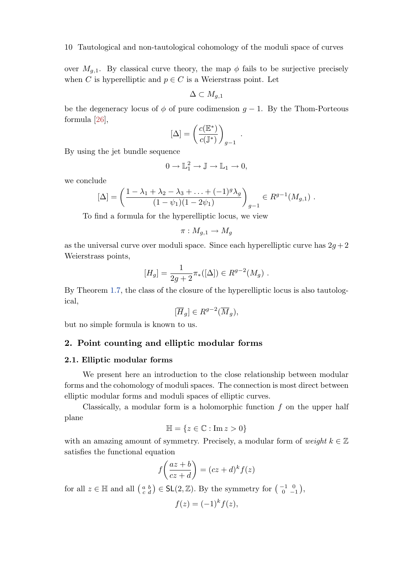<span id="page-9-0"></span>over  $M_{g,1}$ . By classical curve theory, the map  $\phi$  fails to be surjective precisely when C is hyperelliptic and  $p \in C$  is a Weierstrass point. Let

$$
\Delta\subset M_{g,1}
$$

be the degeneracy locus of  $\phi$  of pure codimension  $g - 1$ . By the Thom-Porteous formula [\[26\]](#page-36-0),

$$
[\Delta] = \left(\frac{c(\mathbb{E}^*)}{c(\mathbb{J}^*)}\right)_{g-1} \ .
$$

By using the jet bundle sequence

$$
0 \to \mathbb{L}_1^2 \to \mathbb{J} \to \mathbb{L}_1 \to 0,
$$

we conclude

$$
[\Delta] = \left(\frac{1 - \lambda_1 + \lambda_2 - \lambda_3 + \ldots + (-1)^g \lambda_g}{(1 - \psi_1)(1 - 2\psi_1)}\right)_{g-1} \in R^{g-1}(M_{g,1}) \; .
$$

To find a formula for the hyperelliptic locus, we view

$$
\pi: M_{g,1} \to M_g
$$

as the universal curve over moduli space. Since each hyperelliptic curve has  $2g + 2$ Weierstrass points,

$$
[H_g] = \frac{1}{2g+2} \pi_*([\Delta]) \in R^{g-2}(M_g) .
$$

By Theorem [1.7,](#page-7-0) the class of the closure of the hyperelliptic locus is also tautological,

$$
[\overline{H}_g] \in R^{g-2}(\overline{M}_g),
$$

but no simple formula is known to us.

## 2. Point counting and elliptic modular forms

## 2.1. Elliptic modular forms

We present here an introduction to the close relationship between modular forms and the cohomology of moduli spaces. The connection is most direct between elliptic modular forms and moduli spaces of elliptic curves.

Classically, a modular form is a holomorphic function  $f$  on the upper half plane

$$
\mathbb{H} = \{ z \in \mathbb{C} : \operatorname{Im} z > 0 \}
$$

with an amazing amount of symmetry. Precisely, a modular form of weight  $k \in \mathbb{Z}$ satisfies the functional equation

$$
f\left(\frac{az+b}{cz+d}\right) = (cz+d)^k f(z)
$$

for all  $z \in \mathbb{H}$  and all  $\begin{pmatrix} a & b \\ c & d \end{pmatrix} \in \mathsf{SL}(2,\mathbb{Z})$ . By the symmetry for  $\begin{pmatrix} -1 & 0 \\ 0 & -1 \end{pmatrix}$ ,

$$
f(z) = (-1)^k f(z),
$$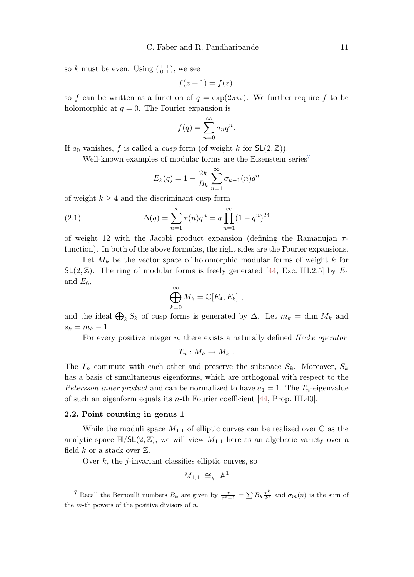<span id="page-10-0"></span>so k must be even. Using  $\left(\begin{smallmatrix} 1 & 1 \\ 0 & 1 \end{smallmatrix}\right)$ , we see

$$
f(z+1) = f(z),
$$

so f can be written as a function of  $q = \exp(2\pi i z)$ . We further require f to be holomorphic at  $q = 0$ . The Fourier expansion is

$$
f(q) = \sum_{n=0}^{\infty} a_n q^n.
$$

If  $a_0$  vanishes, f is called a *cusp* form (of weight k for  $SL(2, \mathbb{Z})$ ).

Well-known examples of modular forms are the Eisenstein series<sup>7</sup>

$$
E_k(q) = 1 - \frac{2k}{B_k} \sum_{n=1}^{\infty} \sigma_{k-1}(n) q^n
$$

of weight  $k \geq 4$  and the discriminant cusp form

(2.1) 
$$
\Delta(q) = \sum_{n=1}^{\infty} \tau(n) q^n = q \prod_{n=1}^{\infty} (1 - q^n)^{24}
$$

of weight 12 with the Jacobi product expansion (defining the Ramanujan  $\tau$ function). In both of the above formulas, the right sides are the Fourier expansions.

Let  $M_k$  be the vector space of holomorphic modular forms of weight k for  $SL(2,\mathbb{Z})$ . The ring of modular forms is freely generated [\[44,](#page-37-0) Exc. III.2.5] by  $E_4$ and  $E_6$ ,

$$
\bigoplus_{k=0}^{\infty} M_k = \mathbb{C}[E_4, E_6],
$$

and the ideal  $\bigoplus_k S_k$  of cusp forms is generated by  $\Delta$ . Let  $m_k = \dim M_k$  and  $s_k = m_k - 1.$ 

For every positive integer  $n$ , there exists a naturally defined *Hecke operator* 

$$
T_n: M_k \to M_k .
$$

The  $T_n$  commute with each other and preserve the subspace  $S_k$ . Moreover,  $S_k$ has a basis of simultaneous eigenforms, which are orthogonal with respect to the Petersson inner product and can be normalized to have  $a_1 = 1$ . The  $T_n$ -eigenvalue of such an eigenform equals its *n*-th Fourier coefficient  $[44, Prop. III.40]$ .

#### 2.2. Point counting in genus 1

While the moduli space  $M_{1,1}$  of elliptic curves can be realized over  $\mathbb C$  as the analytic space  $\mathbb{H}/\mathsf{SL}(2,\mathbb{Z})$ , we will view  $M_{1,1}$  here as an algebraic variety over a field  $k$  or a stack over  $\mathbb{Z}$ .

Over  $\overline{k}$ , the *j*-invariant classifies elliptic curves, so

$$
M_{1,1} \cong_{\overline{k}} \mathbb{A}^1
$$

<sup>&</sup>lt;sup>7</sup> Recall the Bernoulli numbers  $B_k$  are given by  $\frac{x}{e^x-1} = \sum B_k \frac{x^k}{k!}$  $\frac{x^n}{k!}$  and  $\sigma_m(n)$  is the sum of the  $m$ -th powers of the positive divisors of  $n$ .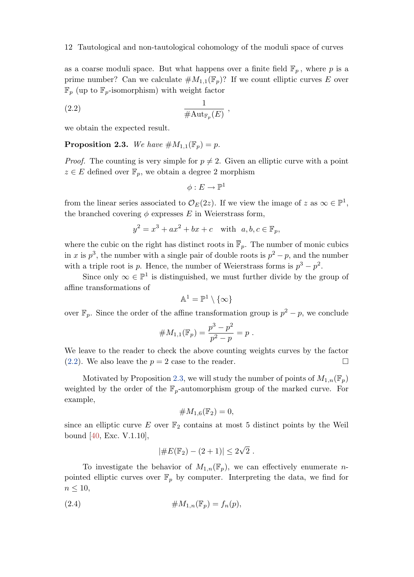<span id="page-11-0"></span>as a coarse moduli space. But what happens over a finite field  $\mathbb{F}_p$ , where p is a prime number? Can we calculate  $\#M_{1,1}(\mathbb{F}_p)$ ? If we count elliptic curves E over  $\mathbb{F}_p$  (up to  $\mathbb{F}_p$ -isomorphism) with weight factor

$$
\frac{1}{\# \text{Aut}_{\mathbb{F}_p}(E)} ,
$$

we obtain the expected result.

**Proposition 2.3.** We have  $\#M_{1,1}(\mathbb{F}_p) = p$ .

*Proof.* The counting is very simple for  $p \neq 2$ . Given an elliptic curve with a point  $z \in E$  defined over  $\mathbb{F}_p$ , we obtain a degree 2 morphism

$$
\phi:E\to \mathbb{P}^1
$$

from the linear series associated to  $\mathcal{O}_E(2z)$ . If we view the image of z as  $\infty \in \mathbb{P}^1$ , the branched covering  $\phi$  expresses  $E$  in Weierstrass form,

$$
y^2 = x^3 + ax^2 + bx + c \quad \text{with} \quad a, b, c \in \mathbb{F}_p,
$$

where the cubic on the right has distinct roots in  $\overline{\mathbb{F}}_p$ . The number of monic cubics in x is  $p^3$ , the number with a single pair of double roots is  $p^2 - p$ , and the number with a triple root is p. Hence, the number of Weierstrass forms is  $p^3 - p^2$ .

Since only  $\infty \in \mathbb{P}^1$  is distinguished, we must further divide by the group of affine transformations of

$$
\mathbb{A}^1=\mathbb{P}^1\setminus\{\infty\}
$$

over  $\mathbb{F}_p$ . Since the order of the affine transformation group is  $p^2 - p$ , we conclude

#
$$
M_{1,1}(\mathbb{F}_p) = \frac{p^3 - p^2}{p^2 - p} = p
$$
.

We leave to the reader to check the above counting weights curves by the factor (2.2). We also leave the  $p = 2$  case to the reader.

Motivated by Proposition 2.3, we will study the number of points of  $M_{1,n}(\mathbb{F}_p)$ weighted by the order of the  $\mathbb{F}_p$ -automorphism group of the marked curve. For example,

$$
\#M_{1,6}(\mathbb{F}_2)=0,
$$

since an elliptic curve E over  $\mathbb{F}_2$  contains at most 5 distinct points by the Weil bound [\[40,](#page-36-0) Exc. V.1.10],

$$
|\#E(\mathbb{F}_2) - (2+1)| \leq 2\sqrt{2}.
$$

To investigate the behavior of  $M_{1,n}(\mathbb{F}_p)$ , we can effectively enumerate *n*pointed elliptic curves over  $\mathbb{F}_p$  by computer. Interpreting the data, we find for  $n \leq 10$ ,

$$
\#M_{1,n}(\mathbb{F}_p) = f_n(p),
$$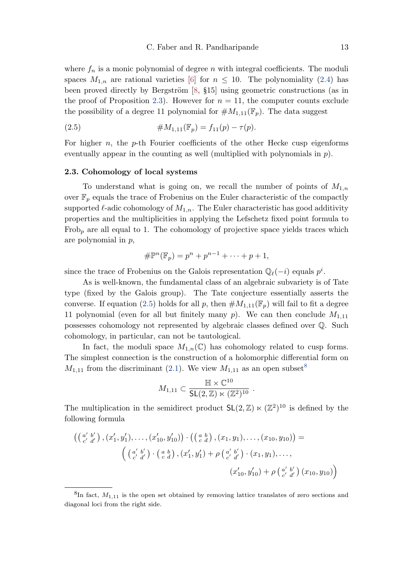<span id="page-12-0"></span>where  $f_n$  is a monic polynomial of degree n with integral coefficients. The moduli spaces  $M_{1,n}$  are rational varieties [\[6\]](#page-34-0) for  $n \leq 10$ . The polynomiality [\(2.4\)](#page-11-0) has been proved directly by Bergström  $[8, §15]$  using geometric constructions (as in the proof of Proposition [2.3\)](#page-11-0). However for  $n = 11$ , the computer counts exclude the possibility of a degree 11 polynomial for  $\#M_{1,11}(\mathbb{F}_p)$ . The data suggest

(2.5) 
$$
\#M_{1,11}(\mathbb{F}_p) = f_{11}(p) - \tau(p).
$$

For higher  $n$ , the  $p$ -th Fourier coefficients of the other Hecke cusp eigenforms eventually appear in the counting as well (multiplied with polynomials in  $p$ ).

## 2.3. Cohomology of local systems

To understand what is going on, we recall the number of points of  $M_{1,n}$ over  $\mathbb{F}_p$  equals the trace of Frobenius on the Euler characteristic of the compactly supported  $\ell$ -adic cohomology of  $M_{1,n}$ . The Euler characteristic has good additivity properties and the multiplicities in applying the Lefschetz fixed point formula to  $Frob<sub>p</sub>$  are all equal to 1. The cohomology of projective space yields traces which are polynomial in p,

$$
\# \mathbb{P}^n(\mathbb{F}_p) = p^n + p^{n-1} + \dots + p + 1,
$$

since the trace of Frobenius on the Galois representation  $\mathbb{Q}_{\ell}(-i)$  equals  $p^i$ .

As is well-known, the fundamental class of an algebraic subvariety is of Tate type (fixed by the Galois group). The Tate conjecture essentially asserts the converse. If equation (2.5) holds for all p, then  $\#M_{1,11}(\mathbb{F}_p)$  will fail to fit a degree 11 polynomial (even for all but finitely many  $p$ ). We can then conclude  $M_{1,11}$ possesses cohomology not represented by algebraic classes defined over Q. Such cohomology, in particular, can not be tautological.

In fact, the moduli space  $M_{1,n}(\mathbb{C})$  has cohomology related to cusp forms. The simplest connection is the construction of a holomorphic differential form on  $M_{1,11}$  from the discriminant [\(2.1\)](#page-10-0). We view  $M_{1,11}$  as an open subset<sup>8</sup>

$$
M_{1,11} \subset \frac{\mathbb{H} \times \mathbb{C}^{10}}{\mathsf{SL}(2,\mathbb{Z}) \ltimes (\mathbb{Z}^2)^{10}}.
$$

The multiplication in the semidirect product  $SL(2, \mathbb{Z}) \ltimes (\mathbb{Z}^2)^{10}$  is defined by the following formula

$$
\begin{aligned}\n\left( \begin{pmatrix} a' & b' \\ c' & d' \end{pmatrix}, (x'_1, y'_1), \dots, (x'_{10}, y'_{10}) \right) \cdot \left( \begin{pmatrix} a & b \\ c & d \end{pmatrix}, (x_1, y_1), \dots, (x_{10}, y_{10}) \right) &= \\
\left( \begin{pmatrix} a' & b' \\ c' & d' \end{pmatrix} \cdot \begin{pmatrix} a & b \\ c & d \end{pmatrix}, (x'_1, y'_1) + \rho \begin{pmatrix} a' & b' \\ c' & d' \end{pmatrix} \cdot (x_1, y_1), \dots, \\
(x'_{10}, y'_{10}) + \rho \begin{pmatrix} a' & b' \\ c' & d' \end{pmatrix} (x_{10}, y_{10}) \right)\n\end{aligned}
$$

 ${}^{8}$ In fact,  $M_{1,11}$  is the open set obtained by removing lattice translates of zero sections and diagonal loci from the right side.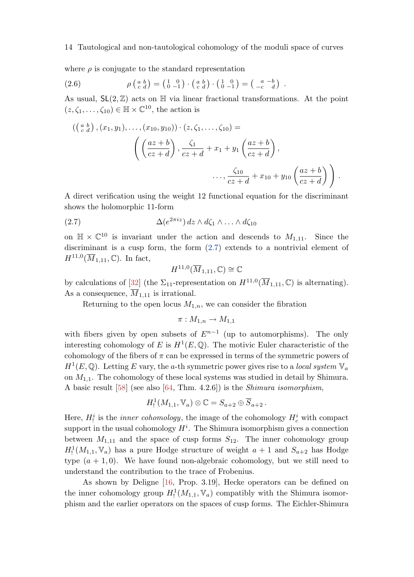<span id="page-13-0"></span>where  $\rho$  is conjugate to the standard representation

(2.6) 
$$
\rho\left(\begin{smallmatrix} a & b \\ c & d \end{smallmatrix}\right) = \left(\begin{smallmatrix} 1 & 0 \\ 0 & -1 \end{smallmatrix}\right) \cdot \left(\begin{smallmatrix} a & b \\ c & d \end{smallmatrix}\right) \cdot \left(\begin{smallmatrix} 1 & 0 \\ 0 & -1 \end{smallmatrix}\right) = \left(\begin{smallmatrix} a & -b \\ -c & d \end{smallmatrix}\right) .
$$

As usual,  $SL(2,\mathbb{Z})$  acts on  $\mathbb{H}$  via linear fractional transformations. At the point  $(z, \zeta_1, \ldots, \zeta_{10}) \in \mathbb{H} \times \mathbb{C}^{10}$ , the action is

$$
((\begin{array}{c} {a \ b} \\ {c \ d} \end{array}), (x_1, y_1), \ldots, (x_{10}, y_{10})) \cdot (z, \zeta_1, \ldots, \zeta_{10}) =
$$

$$
\left( \left( \frac{az+b}{cz+d} \right), \frac{\zeta_1}{cz+d} + x_1 + y_1 \left( \frac{az+b}{cz+d} \right), \right. \\ \left. \ldots, \frac{\zeta_{10}}{cz+d} + x_{10} + y_{10} \left( \frac{az+b}{cz+d} \right) \right).
$$

A direct verification using the weight 12 functional equation for the discriminant shows the holomorphic 11-form

(2.7) 
$$
\Delta(e^{2\pi i z}) dz \wedge d\zeta_1 \wedge \ldots \wedge d\zeta_{10}
$$

on  $\mathbb{H} \times \mathbb{C}^{10}$  is invariant under the action and descends to  $M_{1,11}$ . Since the discriminant is a cusp form, the form (2.7) extends to a nontrivial element of  $H^{11,0}(\overline{M}_{1,11},\mathbb{C})$ . In fact,

$$
H^{11,0}(\overline{M}_{1,11},\mathbb{C}) \cong \mathbb{C}
$$

by calculations of [\[32\]](#page-36-0) (the  $\Sigma_{11}$ -representation on  $H^{11,0}(\overline{M}_{1,11}, \mathbb{C})$  is alternating). As a consequence,  $M_{1,11}$  is irrational.

Returning to the open locus  $M_{1,n}$ , we can consider the fibration

$$
\pi: M_{1,n} \to M_{1,1}
$$

with fibers given by open subsets of  $E^{n-1}$  (up to automorphisms). The only interesting cohomology of E is  $H^1(E, \mathbb{Q})$ . The motivic Euler characteristic of the cohomology of the fibers of  $\pi$  can be expressed in terms of the symmetric powers of  $H^1(E, \mathbb{Q})$ . Letting E vary, the a-th symmetric power gives rise to a local system  $\mathbb{V}_a$ on  $M_{1,1}$ . The cohomology of these local systems was studied in detail by Shimura. A basic result [\[58\]](#page-37-0) (see also [\[64,](#page-38-0) Thm. 4.2.6]) is the Shimura isomorphism,

$$
H_!^1(M_{1,1}, \mathbb{V}_a) \otimes \mathbb{C} = S_{a+2} \oplus \overline{S}_{a+2} .
$$

Here,  $H_!^i$  is the *inner cohomology*, the image of the cohomology  $H_c^i$  with compact support in the usual cohomology  $H^i$ . The Shimura isomorphism gives a connection between  $M_{1,11}$  and the space of cusp forms  $S_{12}$ . The inner cohomology group  $H_!^1(M_{1,1}, \mathbb{V}_a)$  has a pure Hodge structure of weight  $a + 1$  and  $S_{a+2}$  has Hodge type  $(a + 1, 0)$ . We have found non-algebraic cohomology, but we still need to understand the contribution to the trace of Frobenius.

As shown by Deligne [\[16,](#page-35-0) Prop. 3.19], Hecke operators can be defined on the inner cohomology group  $H_!^1(M_{1,1}, \mathbb{V}_a)$  compatibly with the Shimura isomorphism and the earlier operators on the spaces of cusp forms. The Eichler-Shimura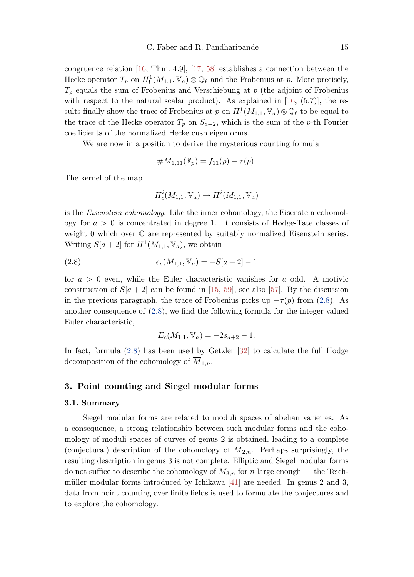<span id="page-14-0"></span>congruence relation [\[16,](#page-35-0) Thm. 4.9], [\[17,](#page-35-0) [58\]](#page-37-0) establishes a connection between the Hecke operator  $T_p$  on  $H_!^1(M_{1,1}, \mathbb{V}_a) \otimes \mathbb{Q}_\ell$  and the Frobenius at p. More precisely,  $T_p$  equals the sum of Frobenius and Verschiebung at p (the adjoint of Frobenius with respect to the natural scalar product). As explained in  $[16, (5.7)]$ , the results finally show the trace of Frobenius at p on  $H_1^1(M_{1,1}, \mathbb{V}_a) \otimes \mathbb{Q}_\ell$  to be equal to the trace of the Hecke operator  $T_p$  on  $S_{a+2}$ , which is the sum of the p-th Fourier coefficients of the normalized Hecke cusp eigenforms.

We are now in a position to derive the mysterious counting formula

#M1,11(Fp) = f11(p) − τ (p).

The kernel of the map

$$
H^i_c(M_{1,1},\mathbb{V}_a)\rightarrow H^i(M_{1,1},\mathbb{V}_a)
$$

is the *Eisenstein cohomology*. Like the inner cohomology, the Eisenstein cohomology for  $a > 0$  is concentrated in degree 1. It consists of Hodge-Tate classes of weight 0 which over  $\mathbb C$  are represented by suitably normalized Eisenstein series. Writing  $S[a+2]$  for  $H_!^1(M_{1,1}, \mathbb{V}_a)$ , we obtain

(2.8) 
$$
e_c(M_{1,1}, \mathbb{V}_a) = -S[a+2]-1
$$

for  $a > 0$  even, while the Euler characteristic vanishes for a odd. A motivic construction of  $S[a + 2]$  can be found in [\[15,](#page-35-0) [59\]](#page-37-0), see also [\[57\]](#page-37-0). By the discussion in the previous paragraph, the trace of Frobenius picks up  $-\tau(p)$  from (2.8). As another consequence of (2.8), we find the following formula for the integer valued Euler characteristic,

$$
E_c(M_{1,1}, \mathbb{V}_a) = -2s_{a+2} - 1.
$$

In fact, formula (2.8) has been used by Getzler [\[32\]](#page-36-0) to calculate the full Hodge decomposition of the cohomology of  $M_{1,n}$ .

## 3. Point counting and Siegel modular forms

#### 3.1. Summary

Siegel modular forms are related to moduli spaces of abelian varieties. As a consequence, a strong relationship between such modular forms and the cohomology of moduli spaces of curves of genus 2 is obtained, leading to a complete (conjectural) description of the cohomology of  $\overline{M}_{2,n}$ . Perhaps surprisingly, the resulting description in genus 3 is not complete. Elliptic and Siegel modular forms do not suffice to describe the cohomology of  $M_{3,n}$  for n large enough — the Teichmüller modular forms introduced by Ichikawa  $[41]$  are needed. In genus 2 and 3, data from point counting over finite fields is used to formulate the conjectures and to explore the cohomology.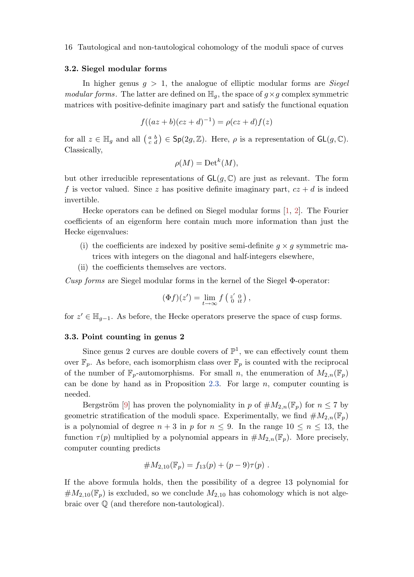#### <span id="page-15-0"></span>3.2. Siegel modular forms

In higher genus  $g > 1$ , the analogue of elliptic modular forms are *Siegel* modular forms. The latter are defined on  $\mathbb{H}_q$ , the space of  $g \times g$  complex symmetric matrices with positive-definite imaginary part and satisfy the functional equation

$$
f((az + b)(cz + d)^{-1}) = \rho(cz + d)f(z)
$$

for all  $z \in \mathbb{H}_g$  and all  $\begin{pmatrix} a & b \\ c & d \end{pmatrix} \in \mathsf{Sp}(2g, \mathbb{Z})$ . Here,  $\rho$  is a representation of  $\mathsf{GL}(g, \mathbb{C})$ . Classically,

$$
\rho(M) = \mathrm{Det}^k(M),
$$

but other irreducible representations of  $GL(g, \mathbb{C})$  are just as relevant. The form f is vector valued. Since z has positive definite imaginary part,  $cz + d$  is indeed invertible.

Hecke operators can be defined on Siegel modular forms [\[1,](#page-34-0) [2\]](#page-34-0). The Fourier coefficients of an eigenform here contain much more information than just the Hecke eigenvalues:

- (i) the coefficients are indexed by positive semi-definite  $g \times g$  symmetric matrices with integers on the diagonal and half-integers elsewhere,
- (ii) the coefficients themselves are vectors.

Cusp forms are Siegel modular forms in the kernel of the Siegel  $\Phi$ -operator:

$$
(\Phi f)(z') = \lim_{t \to \infty} f\left(\begin{smallmatrix} z' & 0 \\ 0 & it \end{smallmatrix}\right),
$$

for  $z' \in \mathbb{H}_{g-1}$ . As before, the Hecke operators preserve the space of cusp forms.

#### 3.3. Point counting in genus 2

Since genus 2 curves are double covers of  $\mathbb{P}^1$ , we can effectively count them over  $\mathbb{F}_p$ . As before, each isomorphism class over  $\mathbb{F}_p$  is counted with the reciprocal of the number of  $\mathbb{F}_p$ -automorphisms. For small n, the enumeration of  $M_{2,n}(\mathbb{F}_p)$ can be done by hand as in Proposition [2.3.](#page-11-0) For large  $n$ , computer counting is needed.

Bergström [\[9\]](#page-34-0) has proven the polynomiality in p of  $\#M_{2,n}(\mathbb{F}_p)$  for  $n \leq 7$  by geometric stratification of the moduli space. Experimentally, we find  $\#M_{2,n}(\mathbb{F}_p)$ is a polynomial of degree  $n + 3$  in p for  $n \leq 9$ . In the range  $10 \leq n \leq 13$ , the function  $\tau(p)$  multiplied by a polynomial appears in  $\#M_{2,n}(\mathbb{F}_p)$ . More precisely, computer counting predicts

#M2,10(Fp) = f13(p) + (p − 9)τ (p) .

If the above formula holds, then the possibility of a degree 13 polynomial for  $\#M_{2,10}(\mathbb{F}_p)$  is excluded, so we conclude  $M_{2,10}$  has cohomology which is not algebraic over Q (and therefore non-tautological).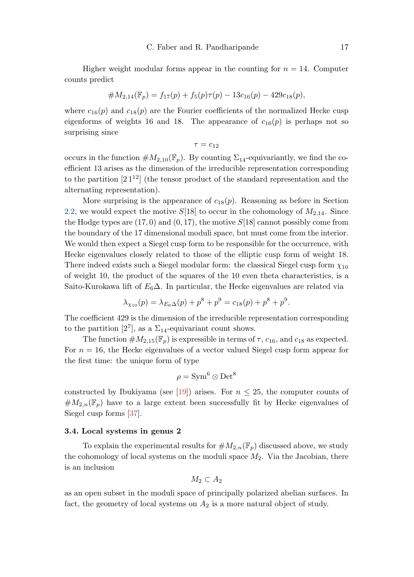<span id="page-16-0"></span>Higher weight modular forms appear in the counting for  $n = 14$ . Computer counts predict

$$
#M_{2,14}(\mathbb{F}_p) = f_{17}(p) + f_5(p)\tau(p) - 13c_{16}(p) - 429c_{18}(p),
$$

where  $c_{16}(p)$  and  $c_{18}(p)$  are the Fourier coefficients of the normalized Hecke cusp eigenforms of weights 16 and 18. The appearance of  $c_{16}(p)$  is perhaps not so surprising since

 $\tau = c_{12}$ 

occurs in the function  $\#M_{2,10}(\mathbb{F}_p)$ . By counting  $\Sigma_{14}$ -equivariantly, we find the coefficient 13 arises as the dimension of the irreducible representation corresponding to the partition  $[2]^{12}$  (the tensor product of the standard representation and the alternating representation).

More surprising is the appearance of  $c_{18}(p)$ . Reasoning as before in Section [2.2,](#page-10-0) we would expect the motive  $S[18]$  to occur in the cohomology of  $M_{2,14}$ . Since the Hodge types are  $(17, 0)$  and  $(0, 17)$ , the motive  $S[18]$  cannot possibly come from the boundary of the 17 dimensional moduli space, but must come from the interior. We would then expect a Siegel cusp form to be responsible for the occurrence, with Hecke eigenvalues closely related to those of the elliptic cusp form of weight 18. There indeed exists such a Siegel modular form: the classical Siegel cusp form  $\chi_{10}$ of weight 10, the product of the squares of the 10 even theta characteristics, is a Saito-Kurokawa lift of  $E_6\Delta$ . In particular, the Hecke eigenvalues are related via

$$
\lambda_{\chi_{10}}(p) = \lambda_{E_6\Delta}(p) + p^8 + p^9 = c_{18}(p) + p^8 + p^9.
$$

The coefficient 429 is the dimension of the irreducible representation corresponding to the partition [2<sup>7</sup>], as a  $\Sigma_{14}$ -equivariant count shows.

The function  $\#M_{2,15}(\mathbb{F}_p)$  is expressible in terms of  $\tau$ ,  $c_{16}$ , and  $c_{18}$  as expected. For  $n = 16$ , the Hecke eigenvalues of a vector valued Siegel cusp form appear for the first time: the unique form of type

$$
\rho = \text{Sym}^6 \otimes \text{Det}^8
$$

constructed by Ibukiyama (see [\[19\]](#page-35-0)) arises. For  $n \leq 25$ , the computer counts of  $\#M_{2,n}(\mathbb{F}_p)$  have to a large extent been successfully fit by Hecke eigenvalues of Siegel cusp forms [\[37\]](#page-36-0).

#### 3.4. Local systems in genus 2

To explain the experimental results for  $\#M_{2,n}(\mathbb{F}_p)$  discussed above, we study the cohomology of local systems on the moduli space  $M_2$ . Via the Jacobian, there is an inclusion

$$
M_2\subset A_2
$$

as an open subset in the moduli space of principally polarized abelian surfaces. In fact, the geometry of local systems on  $A_2$  is a more natural object of study.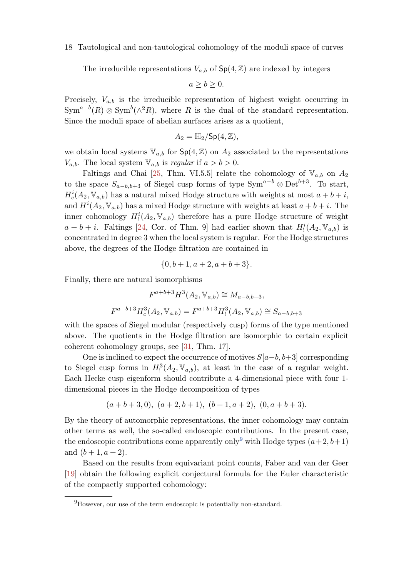<span id="page-17-0"></span>The irreducible representations  $V_{a,b}$  of  $Sp(4, \mathbb{Z})$  are indexed by integers

 $a > b > 0$ .

Precisely,  $V_{a,b}$  is the irreducible representation of highest weight occurring in  $\text{Sym}^{a-b}(R) \otimes \text{Sym}^{b}(\wedge^{2}R)$ , where R is the dual of the standard representation. Since the moduli space of abelian surfaces arises as a quotient,

$$
A_2 = \mathbb{H}_2 / \mathsf{Sp}(4, \mathbb{Z}),
$$

we obtain local systems  $\mathbb{V}_{a,b}$  for  $\mathsf{Sp}(4,\mathbb{Z})$  on  $A_2$  associated to the representations  $V_{a,b}$ . The local system  $\mathbb{V}_{a,b}$  is *regular* if  $a > b > 0$ .

Faltings and Chai [\[25,](#page-36-0) Thm. VI.5.5] relate the cohomology of  $V_{a,b}$  on  $A_2$ to the space  $S_{a-b,b+3}$  of Siegel cusp forms of type Sym<sup>a-b</sup> ⊗ Det<sup>b+3</sup>. To start,  $H_c^i(A_2, \mathbb{V}_{a,b})$  has a natural mixed Hodge structure with weights at most  $a+b+i$ , and  $H^{i}(A_2, \mathbb{V}_{a,b})$  has a mixed Hodge structure with weights at least  $a + b + i$ . The inner cohomology  $H_!^i(A_2, \mathbb{V}_{a,b})$  therefore has a pure Hodge structure of weight  $a + b + i$ . Faltings [\[24,](#page-35-0) Cor. of Thm. 9] had earlier shown that  $H_!^i(A_2, \mathbb{V}_{a,b})$  is concentrated in degree 3 when the local system is regular. For the Hodge structures above, the degrees of the Hodge filtration are contained in

$$
\{0, b+1, a+2, a+b+3\}.
$$

Finally, there are natural isomorphisms

$$
F^{a+b+3}H^3(A_2, \mathbb{V}_{a,b}) \cong M_{a-b,b+3},
$$
  

$$
F^{a+b+3}H^3_c(A_2, \mathbb{V}_{a,b}) = F^{a+b+3}H^3_1(A_2, \mathbb{V}_{a,b}) \cong S_{a-b,b+3}
$$

with the spaces of Siegel modular (respectively cusp) forms of the type mentioned above. The quotients in the Hodge filtration are isomorphic to certain explicit coherent cohomology groups, see [\[31,](#page-36-0) Thm. 17].

One is inclined to expect the occurrence of motives  $S[a-b, b+3]$  corresponding to Siegel cusp forms in  $H_1^3(A_2, \mathbb{V}_{a,b})$ , at least in the case of a regular weight. Each Hecke cusp eigenform should contribute a 4-dimensional piece with four 1 dimensional pieces in the Hodge decomposition of types

$$
(a+b+3,0), (a+2,b+1), (b+1,a+2), (0,a+b+3).
$$

By the theory of automorphic representations, the inner cohomology may contain other terms as well, the so-called endoscopic contributions. In the present case, the endoscopic contributions come apparently only<sup>9</sup> with Hodge types  $(a+2, b+1)$ and  $(b + 1, a + 2)$ .

Based on the results from equivariant point counts, Faber and van der Geer [\[19\]](#page-35-0) obtain the following explicit conjectural formula for the Euler characteristic of the compactly supported cohomology:

 $^{9}$ However, our use of the term endoscopic is potentially non-standard.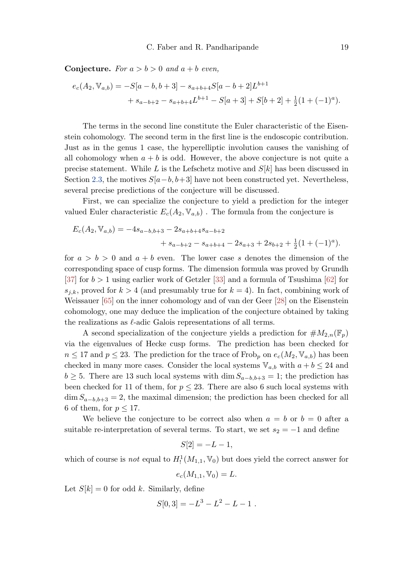<span id="page-18-0"></span>**Conjecture.** For  $a > b > 0$  and  $a + b$  even,

$$
e_c(A_2, \mathbb{V}_{a,b}) = -S[a-b, b+3] - s_{a+b+4}S[a-b+2]L^{b+1}
$$
  
+ 
$$
s_{a-b+2} - s_{a+b+4}L^{b+1} - S[a+3] + S[b+2] + \frac{1}{2}(1+(-1)^a).
$$

The terms in the second line constitute the Euler characteristic of the Eisenstein cohomology. The second term in the first line is the endoscopic contribution. Just as in the genus 1 case, the hyperelliptic involution causes the vanishing of all cohomology when  $a + b$  is odd. However, the above conjecture is not quite a precise statement. While L is the Lefschetz motive and  $S[k]$  has been discussed in Section [2.3,](#page-12-0) the motives  $S[a-b, b+3]$  have not been constructed yet. Nevertheless, several precise predictions of the conjecture will be discussed.

First, we can specialize the conjecture to yield a prediction for the integer valued Euler characteristic  $E_c(A_2, \mathbb{V}_{a,b})$ . The formula from the conjecture is

$$
E_c(A_2, \mathbb{V}_{a,b}) = -4s_{a-b,b+3} - 2s_{a+b+4}s_{a-b+2} + s_{a-b+2} - s_{a+b+4} - 2s_{a+3} + 2s_{b+2} + \frac{1}{2}(1 + (-1)^a).
$$

for  $a > b > 0$  and  $a + b$  even. The lower case s denotes the dimension of the corresponding space of cusp forms. The dimension formula was proved by Grundh [\[37\]](#page-36-0) for  $b > 1$  using earlier work of Getzler [\[33\]](#page-36-0) and a formula of Tsushima [\[62\]](#page-38-0) for  $s_{j,k}$ , proved for  $k > 4$  (and presumably true for  $k = 4$ ). In fact, combining work of Weissauer [\[65\]](#page-38-0) on the inner cohomology and of van der Geer [\[28\]](#page-36-0) on the Eisenstein cohomology, one may deduce the implication of the conjecture obtained by taking the realizations as  $\ell$ -adic Galois representations of all terms.

A second specialization of the conjecture yields a prediction for  $\#M_{2,n}(\mathbb{F}_p)$ via the eigenvalues of Hecke cusp forms. The prediction has been checked for  $n \leq 17$  and  $p \leq 23$ . The prediction for the trace of Frob<sub>p</sub> on  $e_c(M_2, \mathbb{V}_{a,b})$  has been checked in many more cases. Consider the local systems  $\mathbb{V}_{a,b}$  with  $a + b \leq 24$  and  $b \geq 5$ . There are 13 such local systems with dim  $S_{a-b,b+3} = 1$ ; the prediction has been checked for 11 of them, for  $p \leq 23$ . There are also 6 such local systems with  $\dim S_{a-b,b+3} = 2$ , the maximal dimension; the prediction has been checked for all 6 of them, for  $p \leq 17$ .

We believe the conjecture to be correct also when  $a = b$  or  $b = 0$  after a suitable re-interpretation of several terms. To start, we set  $s_2 = -1$  and define

$$
S[2] = -L - 1,
$$

which of course is *not* equal to  $H_!^1(M_{1,1}, \mathbb{V}_0)$  but does yield the correct answer for

$$
e_c(M_{1,1}, \mathbb{V}_0) = L.
$$

Let  $S[k] = 0$  for odd k. Similarly, define

$$
S[0,3] = -L^3 - L^2 - L - 1.
$$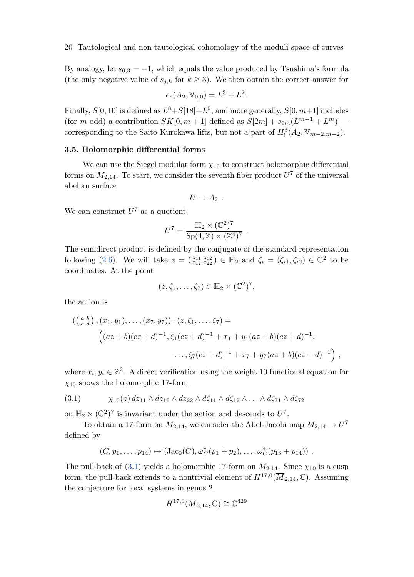By analogy, let  $s_{0,3} = -1$ , which equals the value produced by Tsushima's formula (the only negative value of  $s_{j,k}$  for  $k \geq 3$ ). We then obtain the correct answer for

$$
e_c(A_2, \mathbb{V}_{0,0}) = L^3 + L^2.
$$

Finally,  $S[0, 10]$  is defined as  $L^8 + S[18]+L^9$ , and more generally,  $S[0, m+1]$  includes (for m odd) a contribution  $SK[0, m+1]$  defined as  $S[2m] + s_{2m}(L^{m-1} + L^m)$  corresponding to the Saito-Kurokawa lifts, but not a part of  $H_1^3(A_2, \mathbb{V}_{m-2,m-2})$ .

#### 3.5. Holomorphic differential forms

We can use the Siegel modular form  $\chi_{10}$  to construct holomorphic differential forms on  $M_{2,14}$ . To start, we consider the seventh fiber product  $U^7$  of the universal abelian surface

$$
U\rightarrow A_2
$$
 .

We can construct  $U^7$  as a quotient,

$$
U^7 = \frac{\mathbb{H}_2 \times (\mathbb{C}^2)^7}{\mathsf{Sp}(4,\mathbb{Z}) \ltimes (\mathbb{Z}^4)^7}.
$$

The semidirect product is defined by the conjugate of the standard representation following [\(2.6\)](#page-13-0). We will take  $z = \begin{pmatrix} z_{11} & z_{12} \\ z_{12} & z_{22} \end{pmatrix} \in \mathbb{H}_2$  and  $\zeta_i = (\zeta_{i1}, \zeta_{i2}) \in \mathbb{C}^2$  to be coordinates. At the point

$$
(z,\zeta_1,\ldots,\zeta_7)\in\mathbb{H}_2\times(\mathbb{C}^2)^7,
$$

the action is

$$
((\begin{matrix} a & b \\ c & d \end{matrix}), (x_1, y_1), \dots, (x_7, y_7)) \cdot (z, \zeta_1, \dots, \zeta_7) =
$$
  

$$
(az + b)(cz + d)^{-1}, \zeta_1 (cz + d)^{-1} + x_1 + y_1 (az + b)(cz + d)^{-1},
$$
  

$$
\dots, \zeta_7 (cz + d)^{-1} + x_7 + y_7 (az + b)(cz + d)^{-1}),
$$

where  $x_i, y_i \in \mathbb{Z}^2$ . A direct verification using the weight 10 functional equation for  $\chi_{10}$  shows the holomorphic 17-form

$$
(3.1) \qquad \chi_{10}(z) dz_{11} \wedge dz_{12} \wedge dz_{22} \wedge d\zeta_{11} \wedge d\zeta_{12} \wedge \ldots \wedge d\zeta_{71} \wedge d\zeta_{72}
$$

on  $\mathbb{H}_2 \times (\mathbb{C}^2)^7$  is invariant under the action and descends to  $U^7$ .

To obtain a 17-form on  $M_{2,14}$ , we consider the Abel-Jacobi map  $M_{2,14} \to U^7$ defined by

$$
(C, p_1, \ldots, p_{14}) \mapsto (Jac_0(C), \omega_C^*(p_1 + p_2), \ldots, \omega_C^*(p_{13} + p_{14}))
$$
.

The pull-back of (3.1) yields a holomorphic 17-form on  $M_{2,14}$ . Since  $\chi_{10}$  is a cusp form, the pull-back extends to a nontrivial element of  $H^{17,0}(\overline{M}_{2,14}, \mathbb{C})$ . Assuming the conjecture for local systems in genus 2,

$$
H^{17,0}(\overline{M}_{2,14},\mathbb{C}) \cong \mathbb{C}^{429}
$$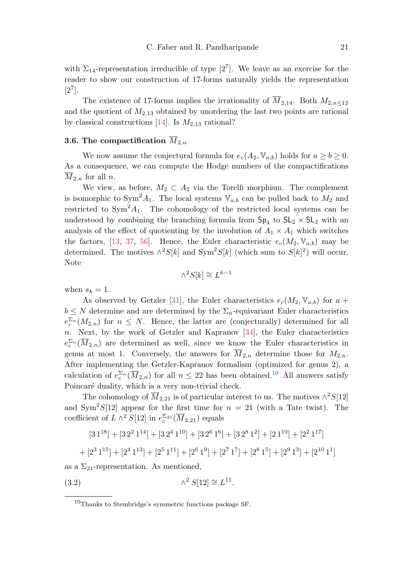<span id="page-20-0"></span>with  $\Sigma_{14}$ -representation irreducible of type  $[2^7]$ . We leave as an exercise for the reader to show our construction of 17-forms naturally yields the representation  $[2^7]$ .

The existence of 17-forms implies the irrationality of  $\overline{M}_{2,14}$ . Both  $M_{2,n<12}$ and the quotient of  $M_{2,13}$  obtained by unordering the last two points are rational by classical constructions [\[14\]](#page-35-0). Is  $M_{2,13}$  rational?

## **3.6.** The compactification  $M_{2,n}$

We now assume the conjectural formula for  $e_c(A_2, \mathbb{V}_{a,b})$  holds for  $a \geq b \geq 0$ . As a consequence, we can compute the Hodge numbers of the compactifications  $\overline{M}_{2,n}$  for all n.

We view, as before,  $M_2 \subset A_2$  via the Torelli morphism. The complement is isomorphic to Sym<sup>2</sup> $A_1$ . The local systems  $\mathbb{V}_{a,b}$  can be pulled back to  $M_2$  and restricted to  $Sym^2 A_1$ . The cohomology of the restricted local systems can be understood by combining the branching formula from  $Sp_4$  to  $SL_2 \times SL_2$  with an analysis of the effect of quotienting by the involution of  $A_1 \times A_1$  which switches the factors, [\[13,](#page-35-0) [37,](#page-36-0) [56\]](#page-37-0). Hence, the Euler characteristic  $e_c(M_2, \mathbb{V}_{a,b})$  may be determined. The motives  $\wedge^2 S[k]$  and  $\text{Sym}^2 S[k]$  (which sum to  $S[k]^2$ ) will occur. Note

$$
\wedge^2 S[k] \cong L^{k-1}
$$

when  $s_k = 1$ .

As observed by Getzler [\[31\]](#page-36-0), the Euler characteristics  $e_c(M_2, \mathbb{V}_{a,b})$  for  $a +$  $b \leq N$  determine and are determined by the  $\Sigma_n$ -equivariant Euler characteristics  $e_c^{\sum_n}(M_{2,n})$  for  $n \leq N$ . Hence, the latter are (conjecturally) determined for all n. Next, by the work of Getzler and Kapranov [\[34\]](#page-36-0), the Euler characteristics  $e_c^{\sum_n}(\overline{M}_{2,n})$  are determined as well, since we know the Euler characteristics in genus at most 1. Conversely, the answers for  $\overline{M}_{2,n}$  determine those for  $M_{2,n}$ . After implementing the Getzler-Kapranov formalism (optimized for genus 2), a calculation of  $e_c^{\sum_n}(\overline{M}_{2,n})$  for all  $n \leq 22$  has been obtained.<sup>10</sup> All answers satisfy Poincaré duality, which is a very non-trivial check.

The cohomology of  $\overline{M}_{2,21}$  is of particular interest to us. The motives  $\wedge^2S[12]$ and  $\text{Sym}^2 S[12]$  appear for the first time for  $n = 21$  (with a Tate twist). The coefficient of  $L \wedge^2 S[12]$  in  $e_c^{\sum_{2}i}(\overline{M}_{2,21})$  equals

$$
[31^{18}] + [32^2 1^{14}] + [32^4 1^{10}] + [32^6 1^6] + [32^8 1^2] + [21^{19}] + [2^2 1^{17}]
$$
  
+ 
$$
[2^3 1^{15}] + [2^4 1^{13}] + [2^5 1^{11}] + [2^6 1^9] + [2^7 1^7] + [2^8 1^5] + [2^9 1^3] + [2^{10} 1^1]
$$

as a  $\Sigma_{21}$ -representation. As mentioned,

$$
(3.2) \qquad \qquad \wedge^2 S[12] \cong L^{11}.
$$

<sup>10</sup>Thanks to Stembridge's symmetric functions package SF.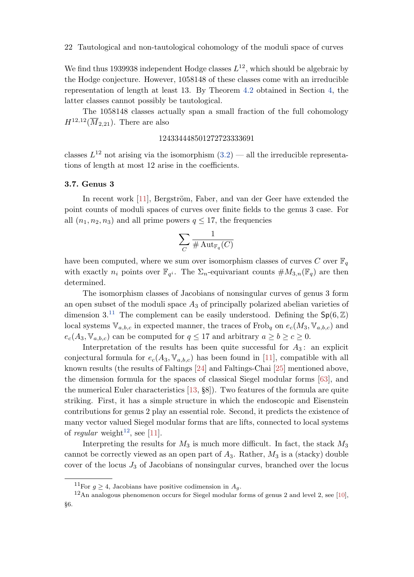<span id="page-21-0"></span>We find thus 1939938 independent Hodge classes  $L^{12}$ , which should be algebraic by the Hodge conjecture. However, 1058148 of these classes come with an irreducible representation of length at least 13. By Theorem [4.2](#page-23-0) obtained in Section [4,](#page-22-0) the latter classes cannot possibly be tautological.

The 1058148 classes actually span a small fraction of the full cohomology  $H^{12,12}(\overline{M}_{2,21})$ . There are also

### 124334448501272723333691

classes  $L^{12}$  not arising via the isomorphism  $(3.2)$  — all the irreducible representations of length at most 12 arise in the coefficients.

## 3.7. Genus 3

In recent work [\[11\]](#page-35-0), Bergström, Faber, and van der Geer have extended the point counts of moduli spaces of curves over finite fields to the genus 3 case. For all  $(n_1, n_2, n_3)$  and all prime powers  $q \leq 17$ , the frequencies

$$
\sum_{C}\frac{1}{\#\operatorname{Aut}_{\mathbb{F}_q}(C)}
$$

have been computed, where we sum over isomorphism classes of curves C over  $\mathbb{F}_q$ with exactly  $n_i$  points over  $\mathbb{F}_{q^i}$ . The  $\Sigma_n$ -equivariant counts  $\#M_{3,n}(\mathbb{F}_q)$  are then determined.

The isomorphism classes of Jacobians of nonsingular curves of genus 3 form an open subset of the moduli space  $A_3$  of principally polarized abelian varieties of dimension 3.<sup>11</sup> The complement can be easily understood. Defining the  $Sp(6, \mathbb{Z})$ local systems  $\mathbb{V}_{a,b,c}$  in expected manner, the traces of Frob<sub>q</sub> on  $e_c(M_3, \mathbb{V}_{a,b,c})$  and  $e_c(A_3, \mathbb{V}_{a,b,c})$  can be computed for  $q \leq 17$  and arbitrary  $a \geq b \geq c \geq 0$ .

Interpretation of the results has been quite successful for  $A_3$ : an explicit conjectural formula for  $e_c(A_3, \mathbb{V}_{a,b,c})$  has been found in [\[11\]](#page-35-0), compatible with all known results (the results of Faltings [\[24\]](#page-35-0) and Faltings-Chai [\[25\]](#page-36-0) mentioned above, the dimension formula for the spaces of classical Siegel modular forms [\[63\]](#page-38-0), and the numerical Euler characteristics [\[13,](#page-35-0) §8]). Two features of the formula are quite striking. First, it has a simple structure in which the endoscopic and Eisenstein contributions for genus 2 play an essential role. Second, it predicts the existence of many vector valued Siegel modular forms that are lifts, connected to local systems of regular weight<sup>12</sup>, see [\[11\]](#page-35-0).

Interpreting the results for  $M_3$  is much more difficult. In fact, the stack  $M_3$ cannot be correctly viewed as an open part of  $A_3$ . Rather,  $M_3$  is a (stacky) double cover of the locus  $J_3$  of Jacobians of nonsingular curves, branched over the locus

<sup>&</sup>lt;sup>11</sup>For  $g \geq 4$ , Jacobians have positive codimension in  $A<sub>g</sub>$ .

 $12$ An analogous phenomenon occurs for Siegel modular forms of genus 2 and level 2, see [\[10\]](#page-35-0), §6.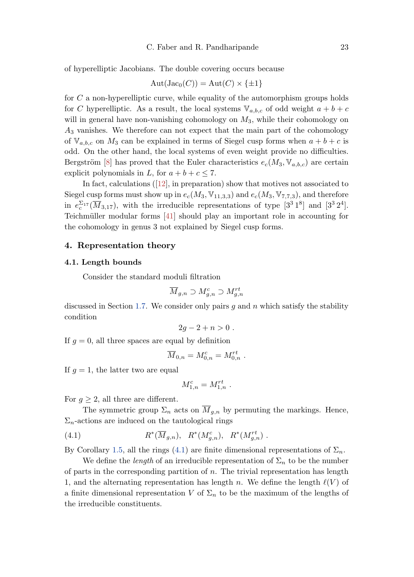<span id="page-22-0"></span>of hyperelliptic Jacobians. The double covering occurs because

$$
Aut(Jac_0(C)) = Aut(C) \times \{\pm 1\}
$$

for C a non-hyperelliptic curve, while equality of the automorphism groups holds for C hyperelliptic. As a result, the local systems  $\mathbb{V}_{a,b,c}$  of odd weight  $a+b+c$ will in general have non-vanishing cohomology on  $M_3$ , while their cohomology on  $A_3$  vanishes. We therefore can not expect that the main part of the cohomology of  $\mathbb{V}_{a,b,c}$  on  $M_3$  can be explained in terms of Siegel cusp forms when  $a + b + c$  is odd. On the other hand, the local systems of even weight provide no difficulties. Bergström [\[8\]](#page-34-0) has proved that the Euler characteristics  $e_c(M_3, V_{a,b,c})$  are certain explicit polynomials in L, for  $a + b + c \leq 7$ .

In fact, calculations([\[12\]](#page-35-0), in preparation) show that motives not associated to Siegel cusp forms must show up in  $e_c(M_3, V_{11,3,3})$  and  $e_c(M_3, V_{7,7,3})$ , and therefore in  $e_c^{\sum_{17}(\overline{M}_{3,17})}$ , with the irreducible representations of type  $[3^3 1^8]$  and  $[3^3 2^4]$ . Teichmüller modular forms [\[41\]](#page-37-0) should play an important role in accounting for the cohomology in genus 3 not explained by Siegel cusp forms.

#### 4. Representation theory

#### 4.1. Length bounds

Consider the standard moduli filtration

$$
\overline{M}_{g,n} \supset M_{g,n}^c \supset M_{g,n}^{rt}
$$

discussed in Section [1.7.](#page-8-0) We consider only pairs  $g$  and  $n$  which satisfy the stability condition

$$
2g-2+n>0.
$$

If  $g = 0$ , all three spaces are equal by definition

$$
\overline{M}_{0,n} = M_{0,n}^c = M_{0,n}^{rt} .
$$

If  $g = 1$ , the latter two are equal

$$
M_{1,n}^c = M_{1,n}^{rt} \; .
$$

For  $g \geq 2$ , all three are different.

The symmetric group  $\Sigma_n$  acts on  $\overline{M}_{q,n}$  by permuting the markings. Hence,  $\Sigma_n$ -actions are induced on the tautological rings

(4.1) 
$$
R^*(\overline{M}_{g,n}), R^*(M_{g,n}^c), R^*(M_{g,n}^{rt})
$$
.

By Corollary [1.5,](#page-5-0) all the rings (4.1) are finite dimensional representations of  $\Sigma_n$ .

We define the *length* of an irreducible representation of  $\Sigma_n$  to be the number of parts in the corresponding partition of  $n$ . The trivial representation has length 1, and the alternating representation has length n. We define the length  $\ell(V)$  of a finite dimensional representation V of  $\Sigma_n$  to be the maximum of the lengths of the irreducible constituents.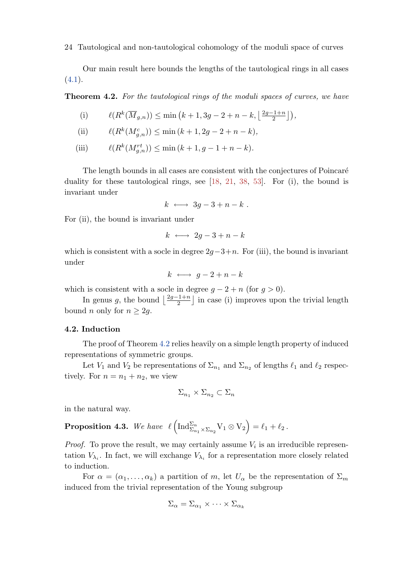<span id="page-23-0"></span>Our main result here bounds the lengths of the tautological rings in all cases  $(4.1).$  $(4.1).$ 

**Theorem 4.2.** For the tautological rings of the moduli spaces of curves, we have

(i) 
$$
\ell(R^k(\overline{M}_{g,n})) \leq \min\left(k+1,3g-2+n-k,\left\lfloor\frac{2g-1+n}{2}\right\rfloor\right),
$$

(ii) 
$$
\ell(R^k(M_{g,n}^c)) \le \min(k+1, 2g-2+n-k),
$$

(iii)  $\ell(R^k(M^{rt}_{g,n})) \leq \min(k+1, g-1+n-k).$ 

The length bounds in all cases are consistent with the conjectures of Poincaré duality for these tautological rings, see [\[18,](#page-35-0) [21,](#page-35-0) [38,](#page-36-0) [53\]](#page-37-0). For (i), the bound is invariant under

$$
k \ \longleftrightarrow \ 3g-3+n-k \ .
$$

For (ii), the bound is invariant under

$$
k \ \longleftrightarrow \ 2g-3+n-k
$$

which is consistent with a socle in degree  $2g-3+n$ . For (iii), the bound is invariant under

$$
k \longleftrightarrow g-2+n-k
$$

which is consistent with a socle in degree  $g - 2 + n$  (for  $g > 0$ ).

In genus g, the bound  $\left\lfloor \frac{2g-1+n}{2} \right\rfloor$  in case (i) improves upon the trivial length bound *n* only for  $n \geq 2g$ .

## 4.2. Induction

The proof of Theorem 4.2 relies heavily on a simple length property of induced representations of symmetric groups.

Let  $V_1$  and  $V_2$  be representations of  $\Sigma_{n_1}$  and  $\Sigma_{n_2}$  of lengths  $\ell_1$  and  $\ell_2$  respectively. For  $n = n_1 + n_2$ , we view

$$
\Sigma_{n_1}\times\Sigma_{n_2}\subset\Sigma_n
$$

in the natural way.

**Proposition 4.3.** We have  $\ell \left( \mathrm{Ind}_{\Sigma_{n_1} \times \Sigma_{n_2}}^{\Sigma_n} V_1 \otimes V_2 \right) = \ell_1 + \ell_2$ .

*Proof.* To prove the result, we may certainly assume  $V_i$  is an irreducible representation  $V_{\lambda_i}$ . In fact, we will exchange  $V_{\lambda_i}$  for a representation more closely related to induction.

For  $\alpha = (\alpha_1, \ldots, \alpha_k)$  a partition of m, let  $U_\alpha$  be the representation of  $\Sigma_m$ induced from the trivial representation of the Young subgroup

$$
\Sigma_{\alpha} = \Sigma_{\alpha_1} \times \cdots \times \Sigma_{\alpha_k}
$$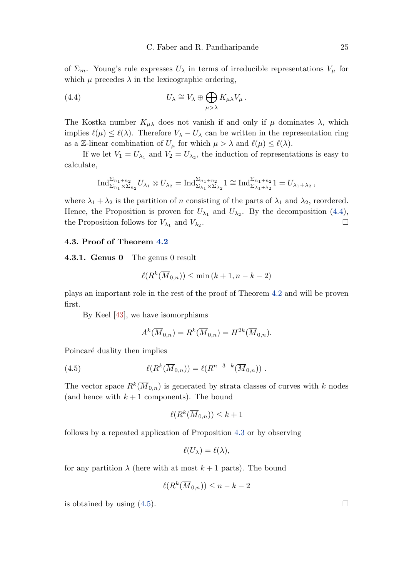<span id="page-24-0"></span>of  $\Sigma_m$ . Young's rule expresses  $U_\lambda$  in terms of irreducible representations  $V_\mu$  for which  $\mu$  precedes  $\lambda$  in the lexicographic ordering,

(4.4) 
$$
U_{\lambda} \cong V_{\lambda} \oplus \bigoplus_{\mu > \lambda} K_{\mu\lambda} V_{\mu} .
$$

The Kostka number  $K_{\mu\lambda}$  does not vanish if and only if  $\mu$  dominates  $\lambda$ , which implies  $\ell(\mu) \leq \ell(\lambda)$ . Therefore  $V_{\lambda} - U_{\lambda}$  can be written in the representation ring as a Z-linear combination of  $U_{\mu}$  for which  $\mu > \lambda$  and  $\ell(\mu) \leq \ell(\lambda)$ .

If we let  $V_1 = U_{\lambda_1}$  and  $V_2 = U_{\lambda_2}$ , the induction of representations is easy to calculate,

$$
\text{Ind}_{\Sigma_{n_1}\times\Sigma_{n_2}}^{\Sigma_{n_1+n_2}} U_{\lambda_1}\otimes U_{\lambda_2} = \text{Ind}_{\Sigma_{\lambda_1}\times\Sigma_{\lambda_2}}^{\Sigma_{n_1+n_2}} 1 \cong \text{Ind}_{\Sigma_{\lambda_1+\lambda_2}}^{\Sigma_{n_1+n_2}} 1 = U_{\lambda_1+\lambda_2},
$$

where  $\lambda_1 + \lambda_2$  is the partition of n consisting of the parts of  $\lambda_1$  and  $\lambda_2$ , reordered. Hence, the Proposition is proven for  $U_{\lambda_1}$  and  $U_{\lambda_2}$ . By the decomposition (4.4), the Proposition follows for  $V_{\lambda_1}$  and  $V_{\lambda_2}$ . .

## 4.3. Proof of Theorem [4.2](#page-23-0)

4.3.1. Genus 0 The genus 0 result

$$
\ell(R^k(\overline{M}_{0,n})) \le \min(k+1, n-k-2)
$$

plays an important role in the rest of the proof of Theorem [4.2](#page-23-0) and will be proven first.

By Keel [\[43\]](#page-37-0), we have isomorphisms

$$
A^k(\overline{M}_{0,n}) = R^k(\overline{M}_{0,n}) = H^{2k}(\overline{M}_{0,n}).
$$

Poincaré duality then implies

(4.5) 
$$
\ell(R^k(\overline{M}_{0,n})) = \ell(R^{n-3-k}(\overline{M}_{0,n})) .
$$

The vector space  $R^k(\overline{M}_{0,n})$  is generated by strata classes of curves with k nodes (and hence with  $k+1$  components). The bound

$$
\ell(R^k(\overline{M}_{0,n})) \le k+1
$$

follows by a repeated application of Proposition [4.3](#page-23-0) or by observing

$$
\ell(U_{\lambda})=\ell(\lambda),
$$

for any partition  $\lambda$  (here with at most  $k+1$  parts). The bound

$$
\ell(R^k(\overline{M}_{0,n})) \le n - k - 2
$$

is obtained by using  $(4.5)$ .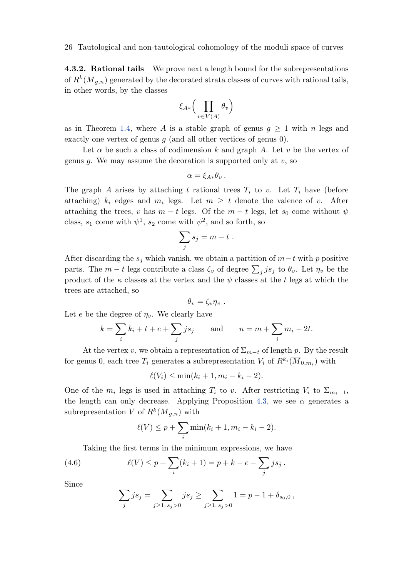<span id="page-25-0"></span>**4.3.2. Rational tails** We prove next a length bound for the subrepresentations of  $R^k(\overline{M}_{g,n})$  generated by the decorated strata classes of curves with rational tails, in other words, by the classes

$$
\xi_{A*}\Big(\prod_{v\in V(A)}\theta_v\Big)
$$

as in Theorem [1.4,](#page-5-0) where A is a stable graph of genus  $g \geq 1$  with n legs and exactly one vertex of genus  $g$  (and all other vertices of genus 0).

Let  $\alpha$  be such a class of codimension k and graph A. Let v be the vertex of genus g. We may assume the decoration is supported only at  $v$ , so

$$
\alpha = \xi_{A*}\theta_v.
$$

The graph A arises by attaching t rational trees  $T_i$  to v. Let  $T_i$  have (before attaching)  $k_i$  edges and  $m_i$  legs. Let  $m \geq t$  denote the valence of v. After attaching the trees, v has  $m - t$  legs. Of the  $m - t$  legs, let  $s_0$  come without  $\psi$ class,  $s_1$  come with  $\psi^1$ ,  $s_2$  come with  $\psi^2$ , and so forth, so

$$
\sum_j s_j = m - t \; .
$$

After discarding the  $s_j$  which vanish, we obtain a partition of  $m-t$  with p positive parts. The  $m - t$  legs contribute a class  $\zeta_v$  of degree  $\sum_j j s_j$  to  $\theta_v$ . Let  $\eta_v$  be the product of the  $\kappa$  classes at the vertex and the  $\psi$  classes at the t legs at which the trees are attached, so

$$
\theta_v = \zeta_v \eta_v .
$$

Let e be the degree of  $\eta_v$ . We clearly have

$$
k = \sum_{i} k_i + t + e + \sum_{j} j s_j
$$
 and 
$$
n = m + \sum_{i} m_i - 2t.
$$

At the vertex v, we obtain a representation of  $\Sigma_{m-t}$  of length p. By the result for genus 0, each tree  $T_i$  generates a subrepresentation  $V_i$  of  $R^{k_i}(\overline{M}_{0,m_i})$  with

$$
\ell(V_i) \le \min(k_i + 1, m_i - k_i - 2).
$$

One of the  $m_i$  legs is used in attaching  $T_i$  to v. After restricting  $V_i$  to  $\Sigma_{m_i-1}$ , the length can only decrease. Applying Proposition [4.3,](#page-23-0) we see  $\alpha$  generates a subrepresentation V of  $R^k(\overline{M}_{g,n})$  with

$$
\ell(V) \leq p + \sum_{i} \min(k_i + 1, m_i - k_i - 2).
$$

Taking the first terms in the minimum expressions, we have

(4.6) 
$$
\ell(V) \leq p + \sum_{i} (k_i + 1) = p + k - e - \sum_{j} j s_j.
$$

Since

$$
\sum_{j} j s_j = \sum_{j \ge 1: s_j > 0} j s_j \ge \sum_{j \ge 1: s_j > 0} 1 = p - 1 + \delta_{s_0, 0},
$$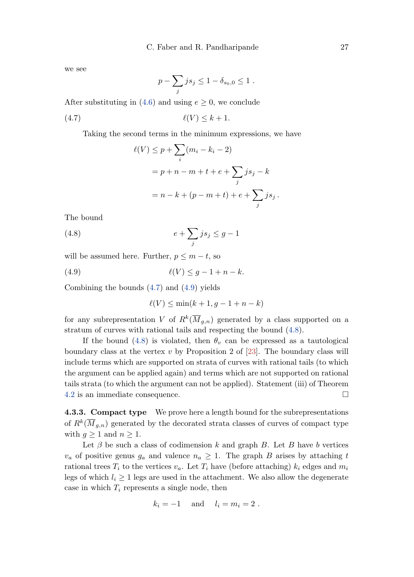<span id="page-26-0"></span>we see

$$
p - \sum_{j} j s_j \leq 1 - \delta_{s_0,0} \leq 1.
$$

After substituting in [\(4.6\)](#page-25-0) and using  $e \geq 0$ , we conclude

$$
\ell(V) \le k+1.
$$

Taking the second terms in the minimum expressions, we have

$$
\ell(V) \le p + \sum_{i} (m_i - k_i - 2)
$$
  
=  $p + n - m + t + e + \sum_{j} j s_j - k$   
=  $n - k + (p - m + t) + e + \sum_{j} j s_j$ .

The bound

$$
(4.8)\qquad \qquad e + \sum_{j} j s_j \le g - 1
$$

will be assumed here. Further,  $p \leq m - t$ , so

$$
\ell(V) \le g - 1 + n - k.
$$

Combining the bounds (4.7) and (4.9) yields

$$
\ell(V) \le \min(k+1, g-1+n-k)
$$

for any subrepresentation V of  $R^k(\overline{M}_{g,n})$  generated by a class supported on a stratum of curves with rational tails and respecting the bound (4.8).

If the bound (4.8) is violated, then  $\theta_v$  can be expressed as a tautological boundary class at the vertex  $v$  by Proposition 2 of [\[23\]](#page-35-0). The boundary class will include terms which are supported on strata of curves with rational tails (to which the argument can be applied again) and terms which are not supported on rational tails strata (to which the argument can not be applied). Statement (iii) of Theorem [4.2](#page-23-0) is an immediate consequence.

4.3.3. Compact type We prove here a length bound for the subrepresentations of  $R^k(\overline{M}_{g,n})$  generated by the decorated strata classes of curves of compact type with  $g \geq 1$  and  $n \geq 1$ .

Let  $\beta$  be such a class of codimension k and graph B. Let B have b vertices  $v_a$  of positive genus  $g_a$  and valence  $n_a \geq 1$ . The graph B arises by attaching t rational trees  $T_i$  to the vertices  $v_a$ . Let  $T_i$  have (before attaching)  $k_i$  edges and  $m_i$ legs of which  $l_i \geq 1$  legs are used in the attachment. We also allow the degenerate case in which  $T_i$  represents a single node, then

$$
k_i = -1 \quad \text{and} \quad l_i = m_i = 2 \ .
$$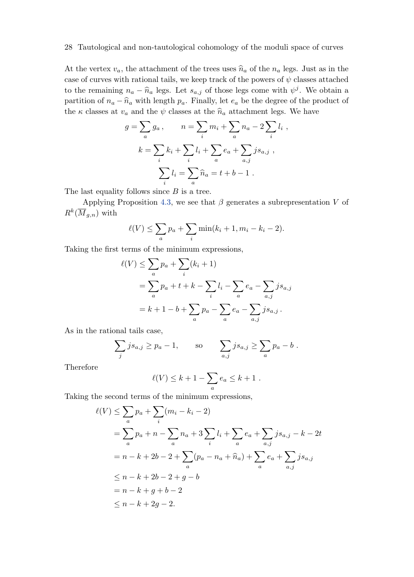At the vertex  $v_a$ , the attachment of the trees uses  $\hat{n}_a$  of the  $n_a$  legs. Just as in the case of curves with rational tails, we keep track of the powers of  $\psi$  classes attached to the remaining  $n_a - \widehat{n}_a$  legs. Let  $s_{a,j}$  of those legs come with  $\psi^j$ . We obtain a<br>position of  $\widehat{n}_a$   $\widehat{n}_a$  with length  $\widehat{n}_a$ . Einelly let  $a$  be the degree of the greenes of the set partition of  $n_a - \hat{n}_a$  with length  $p_a$ . Finally, let  $e_a$  be the degree of the product of the  $\kappa$  classes at  $v_a$  and the  $\psi$  classes at the  $\hat{n}_a$  attachment legs. We have

$$
g = \sum_{a} g_{a}, \qquad n = \sum_{i} m_{i} + \sum_{a} n_{a} - 2 \sum_{i} l_{i} ,
$$

$$
k = \sum_{i} k_{i} + \sum_{i} l_{i} + \sum_{a} e_{a} + \sum_{a,j} j s_{a,j} ,
$$

$$
\sum_{i} l_{i} = \sum_{a} \widehat{n}_{a} = t + b - 1 .
$$

The last equality follows since  $B$  is a tree.

Applying Proposition [4.3,](#page-23-0) we see that  $\beta$  generates a subrepresentation V of  $R^k(\overline{M}_{g,n})$  with

$$
\ell(V) \le \sum_{a} p_a + \sum_{i} \min(k_i + 1, m_i - k_i - 2).
$$

Taking the first terms of the minimum expressions,

$$
\ell(V) \leq \sum_{a} p_a + \sum_{i} (k_i + 1)
$$
  
=  $\sum_{a} p_a + t + k - \sum_{i} l_i - \sum_{a} e_a - \sum_{a,j} j s_{a,j}$   
=  $k + 1 - b + \sum_{a} p_a - \sum_{a} e_a - \sum_{a,j} j s_{a,j}$ .

As in the rational tails case,

$$
\sum_{j} j s_{a,j} \ge p_a - 1
$$
, so  $\sum_{a,j} j s_{a,j} \ge \sum_{a} p_a - b$ .

Therefore

$$
\ell(V) \leq k+1 - \sum_{a} e_a \leq k+1.
$$

Taking the second terms of the minimum expressions,

$$
\ell(V) \leq \sum_{a} p_a + \sum_{i} (m_i - k_i - 2)
$$
  
=  $\sum_{a} p_a + n - \sum_{a} n_a + 3 \sum_{i} l_i + \sum_{a} e_a + \sum_{a,j} j s_{a,j} - k - 2t$   
=  $n - k + 2b - 2 + \sum_{a} (p_a - n_a + \hat{n}_a) + \sum_{a} e_a + \sum_{a,j} j s_{a,j}$   
 $\leq n - k + 2b - 2 + g - b$   
=  $n - k + g + b - 2$   
 $\leq n - k + 2g - 2$ .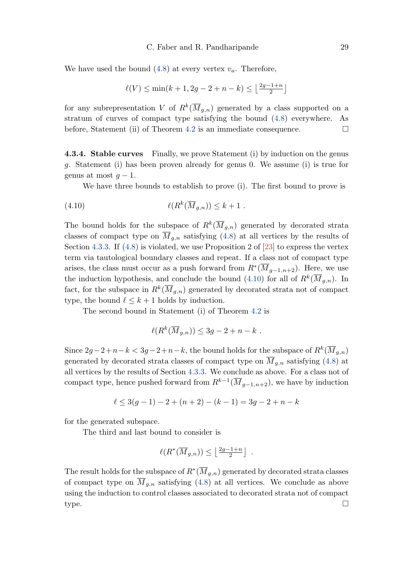<span id="page-28-0"></span>We have used the bound  $(4.8)$  at every vertex  $v_a$ . Therefore,

$$
\ell(V) \le \min(k+1, 2g - 2 + n - k) \le \left\lfloor \frac{2g - 1 + n}{2} \right\rfloor
$$

for any subrepresentation V of  $R^k(\overline{M}_{g,n})$  generated by a class supported on a stratum of curves of compact type satisfying the bound [\(4.8\)](#page-26-0) everywhere. As before, Statement (ii) of Theorem [4.2](#page-23-0) is an immediate consequence.  $\Box$ 

4.3.4. Stable curves Finally, we prove Statement (i) by induction on the genus g. Statement (i) has been proven already for genus 0. We assume (i) is true for genus at most  $q-1$ .

We have three bounds to establish to prove (i). The first bound to prove is

(4.10) `(R k (Mg,n)) ≤ k + 1 .

The bound holds for the subspace of  $R^k(\overline{M}_{g,n})$  generated by decorated strata classes of compact type on  $\overline{M}_{g,n}$  satisfying [\(4.8\)](#page-26-0) at all vertices by the results of Section [4.3.3.](#page-26-0) If  $(4.8)$  is violated, we use Proposition 2 of [\[23\]](#page-35-0) to express the vertex term via tautological boundary classes and repeat. If a class not of compact type arises, the class must occur as a push forward from  $R^*(\overline{M}_{g-1,n+2})$ . Here, we use the induction hypothesis, and conclude the bound (4.10) for all of  $R^k(\overline{M}_{g,n})$ . In fact, for the subspace in  $R^k(\overline{M}_{g,n})$  generated by decorated strata not of compact type, the bound  $\ell \leq k + 1$  holds by induction.

The second bound in Statement (i) of Theorem [4.2](#page-23-0) is

$$
\ell(R^k(\overline{M}_{g,n})) \leq 3g - 2 + n - k.
$$

Since  $2g-2+n-k < 3g-2+n-k$ , the bound holds for the subspace of  $R^k(\overline{M}_{g,n})$ generated by decorated strata classes of compact type on  $\overline{M}_{g,n}$  satisfying [\(4.8\)](#page-26-0) at all vertices by the results of Section [4.3.3.](#page-26-0) We conclude as above. For a class not of compact type, hence pushed forward from  $R^{k-1}(\overline{M}_{g-1,n+2})$ , we have by induction

$$
\ell \le 3(g-1) - 2 + (n+2) - (k-1) = 3g - 2 + n - k
$$

for the generated subspace.

The third and last bound to consider is

$$
\ell(R^*(\overline{M}_{g,n})) \le \left\lfloor \frac{2g-1+n}{2} \right\rfloor .
$$

The result holds for the subspace of  $R^*(\overline{M}_{g,n})$  generated by decorated strata classes of compact type on  $\overline{M}_{g,n}$  satisfying [\(4.8\)](#page-26-0) at all vertices. We conclude as above using the induction to control classes associated to decorated strata not of compact  $\tt type.$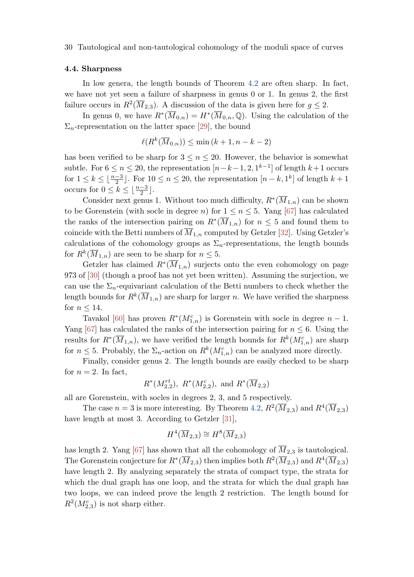#### <span id="page-29-0"></span>4.4. Sharpness

In low genera, the length bounds of Theorem [4.2](#page-23-0) are often sharp. In fact, we have not yet seen a failure of sharpness in genus 0 or 1. In genus 2, the first failure occurs in  $R^2(\overline{M}_{2,3})$ . A discussion of the data is given here for  $g \leq 2$ .

In genus 0, we have  $R^*(\overline{M}_{0,n}) = H^*(\overline{M}_{0,n}, \mathbb{Q})$ . Using the calculation of the  $\Sigma_n$ -representation on the latter space [\[29\]](#page-36-0), the bound

$$
\ell(R^k(\overline{M}_{0,n})) \le \min(k+1, n-k-2)
$$

has been verified to be sharp for  $3 \leq n \leq 20$ . However, the behavior is somewhat subtle. For  $6 \le n \le 20$ , the representation  $[n-k-1, 2, 1^{k-1}]$  of length  $k+1$  occurs for  $1 \leq k \leq \lfloor \frac{n-3}{2} \rfloor$ . For  $10 \leq n \leq 20$ , the representation  $[n-k,1^k]$  of length  $k+1$ occurs for  $0 \leq k \leq \lfloor \frac{n-3}{2} \rfloor$ .

Consider next genus 1. Without too much difficulty,  $R^*(\overline{M}_{1,n})$  can be shown to be Gorenstein (with socle in degree n) for  $1 \le n \le 5$ . Yang [\[67\]](#page-38-0) has calculated the ranks of the intersection pairing on  $R^*(\overline{M}_{1,n})$  for  $n \leq 5$  and found them to coincide with the Betti numbers of  $\overline{M}_{1,n}$  computed by Getzler [\[32\]](#page-36-0). Using Getzler's calculations of the cohomology groups as  $\Sigma_n$ -representations, the length bounds for  $R^k(\overline{M}_{1,n})$  are seen to be sharp for  $n \leq 5$ .

Getzler has claimed  $R^*(\overline{M}_{1,n})$  surjects onto the even cohomology on page 973 of [\[30\]](#page-36-0) (though a proof has not yet been written). Assuming the surjection, we can use the  $\Sigma_n$ -equivariant calculation of the Betti numbers to check whether the length bounds for  $R^k(\overline{M}_{1,n})$  are sharp for larger n. We have verified the sharpness for  $n \leq 14$ .

Tavakol [\[60\]](#page-37-0) has proven  $R^*(M_{1,n}^c)$  is Gorenstein with socle in degree  $n-1$ . Yang [\[67\]](#page-38-0) has calculated the ranks of the intersection pairing for  $n \leq 6$ . Using the results for  $R^*(\overline{M}_{1,n})$ , we have verified the length bounds for  $R^k(M_{1,n}^c)$  are sharp for  $n \leq 5$ . Probably, the  $\Sigma_n$ -action on  $R^k(M_{1,n}^c)$  can be analyzed more directly.

Finally, consider genus 2. The length bounds are easily checked to be sharp for  $n = 2$ . In fact,

$$
R^*(M_{2,2}^{rt}), R^*(M_{2,2}^c), \text{ and } R^*(\overline{M}_{2,2})
$$

all are Gorenstein, with socles in degrees 2, 3, and 5 respectively.

The case  $n=3$  is more interesting. By Theorem [4.2,](#page-23-0)  $R^2(\overline{M}_{2,3})$  and  $R^4(\overline{M}_{2,3})$ have length at most 3. According to Getzler [\[31\]](#page-36-0),

$$
H^4(\overline{M}_{2,3}) \cong H^8(\overline{M}_{2,3})
$$

has length 2. Yang [\[67\]](#page-38-0) has shown that all the cohomology of  $\overline{M}_{2,3}$  is tautological. The Gorenstein conjecture for  $R^*(\overline{M}_{2,3})$  then implies both  $R^2(\overline{M}_{2,3})$  and  $R^4(\overline{M}_{2,3})$ have length 2. By analyzing separately the strata of compact type, the strata for which the dual graph has one loop, and the strata for which the dual graph has two loops, we can indeed prove the length 2 restriction. The length bound for  $R^2(M_{2,3}^c)$  is not sharp either.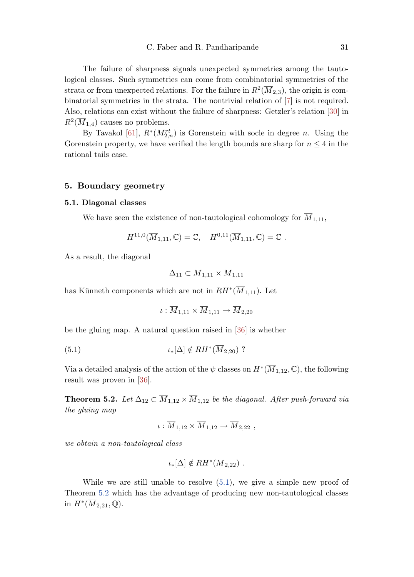<span id="page-30-0"></span>The failure of sharpness signals unexpected symmetries among the tautological classes. Such symmetries can come from combinatorial symmetries of the strata or from unexpected relations. For the failure in  $R^2(\overline{M}_{2,3})$ , the origin is combinatorial symmetries in the strata. The nontrivial relation of [\[7\]](#page-34-0) is not required. Also, relations can exist without the failure of sharpness: Getzler's relation [\[30\]](#page-36-0) in  $R^2(\overline{M}_{1,4})$  causes no problems.

By Tavakol [\[61\]](#page-38-0),  $R^*(M_{2,n}^{rt})$  is Gorenstein with socle in degree n. Using the Gorenstein property, we have verified the length bounds are sharp for  $n \leq 4$  in the rational tails case.

#### 5. Boundary geometry

#### 5.1. Diagonal classes

We have seen the existence of non-tautological cohomology for  $\overline{M}_{1,11}$ ,

$$
H^{11,0}(\overline{M}_{1,11},\mathbb{C})=\mathbb{C},\quad H^{0,11}(\overline{M}_{1,11},\mathbb{C})=\mathbb{C}.
$$

As a result, the diagonal

$$
\Delta_{11} \subset \overline{M}_{1,11} \times \overline{M}_{1,11}
$$

has Künneth components which are not in  $RH^*(\overline{M}_{1,11})$ . Let

$$
\iota:\overline{M}_{1,11}\times \overline{M}_{1,11}\to \overline{M}_{2,20}
$$

be the gluing map. A natural question raised in [\[36\]](#page-36-0) is whether

$$
(5.1) \t\t t_*[\Delta] \notin RH^*(\overline{M}_{2,20}) ?
$$

Via a detailed analysis of the action of the  $\psi$  classes on  $H^*(\overline{M}_{1,12},\mathbb{C})$ , the following result was proven in [\[36\]](#page-36-0).

**Theorem 5.2.** Let  $\Delta_{12} \subset \overline{M}_{1,12} \times \overline{M}_{1,12}$  be the diagonal. After push-forward via the gluing map

$$
\iota: \overline{M}_{1,12} \times \overline{M}_{1,12} \to \overline{M}_{2,22} ,
$$

we obtain a non-tautological class

$$
\iota_*[\Delta] \notin RH^*(\overline{M}_{2,22}) .
$$

While we are still unable to resolve  $(5.1)$ , we give a simple new proof of Theorem 5.2 which has the advantage of producing new non-tautological classes in  $H^*(\overline{M}_{2,21},\mathbb{Q})$ .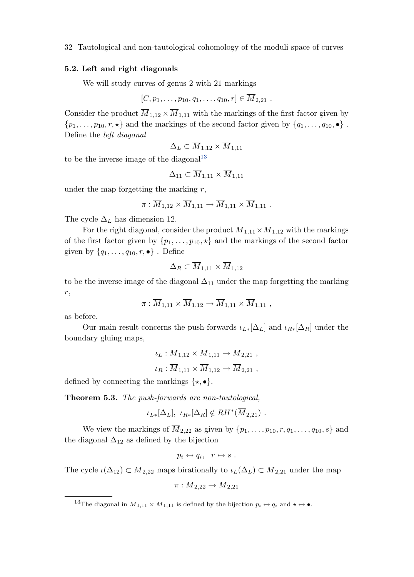## <span id="page-31-0"></span>5.2. Left and right diagonals

We will study curves of genus 2 with 21 markings

$$
[C, p_1, \ldots, p_{10}, q_1, \ldots, q_{10}, r] \in \overline{M}_{2,21} .
$$

Consider the product  $\overline{M}_{1,12} \times \overline{M}_{1,11}$  with the markings of the first factor given by  $\{p_1, \ldots, p_{10}, r, \star\}$  and the markings of the second factor given by  $\{q_1, \ldots, q_{10}, \bullet\}$ . Define the left diagonal

$$
\Delta_L \subset \overline{M}_{1,12} \times \overline{M}_{1,11}
$$

to be the inverse image of the diagonal<sup>13</sup>

$$
\Delta_{11} \subset \overline{M}_{1,11} \times \overline{M}_{1,11}
$$

under the map forgetting the marking  $r$ ,

$$
\pi: \overline{M}_{1,12} \times \overline{M}_{1,11} \to \overline{M}_{1,11} \times \overline{M}_{1,11} .
$$

The cycle  $\Delta_L$  has dimension 12.

For the right diagonal, consider the product  $\overline{M}_{1,11} \times \overline{M}_{1,12}$  with the markings of the first factor given by  $\{p_1, \ldots, p_{10}, \star\}$  and the markings of the second factor given by  $\{q_1, \ldots, q_{10}, r, \bullet\}$ . Define

$$
\Delta_R \subset \overline{M}_{1,11} \times \overline{M}_{1,12}
$$

to be the inverse image of the diagonal  $\Delta_{11}$  under the map forgetting the marking r,

$$
\pi: \overline{M}_{1,11} \times \overline{M}_{1,12} \to \overline{M}_{1,11} \times \overline{M}_{1,11} ,
$$

as before.

Our main result concerns the push-forwards  $\iota_{L*}[\Delta_L]$  and  $\iota_{R*}[\Delta_R]$  under the boundary gluing maps,

$$
\iota_L : \overline{M}_{1,12} \times \overline{M}_{1,11} \to \overline{M}_{2,21} ,
$$
  

$$
\iota_R : \overline{M}_{1,11} \times \overline{M}_{1,12} \to \overline{M}_{2,21} ,
$$

defined by connecting the markings  $\{\star, \bullet\}.$ 

Theorem 5.3. The push-forwards are non-tautological,

$$
\iota_{L*}[\Delta_L], \ \iota_{R*}[\Delta_R] \notin RH^*(\overline{M}_{2,21}) .
$$

We view the markings of  $\overline{M}_{2,22}$  as given by  $\{p_1,\ldots,p_{10},r,q_1,\ldots,q_{10},s\}$  and the diagonal  $\Delta_{12}$  as defined by the bijection

$$
p_i \leftrightarrow q_i, \quad r \leftrightarrow s \ .
$$

The cycle  $\iota(\Delta_{12}) \subset \overline{M}_{2,22}$  maps birationally to  $\iota_L(\Delta_L) \subset \overline{M}_{2,21}$  under the map

$$
\pi:\overline{M}_{2,22}\to\overline{M}_{2,21}
$$

<sup>&</sup>lt;sup>13</sup>The diagonal in  $\overline{M}_{1,11} \times \overline{M}_{1,11}$  is defined by the bijection  $p_i \leftrightarrow q_i$  and  $\star \leftrightarrow \bullet$ .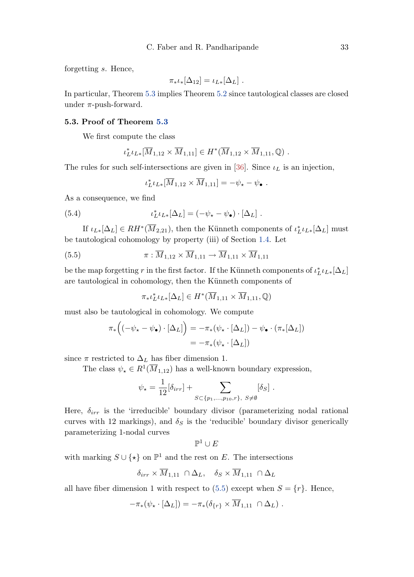<span id="page-32-0"></span>forgetting s. Hence,

$$
\pi_*\iota_*[\Delta_{12}] = \iota_{L*}[\Delta_L].
$$

In particular, Theorem [5.3](#page-31-0) implies Theorem [5.2](#page-30-0) since tautological classes are closed under  $\pi$ -push-forward.

## 5.3. Proof of Theorem [5.3](#page-31-0)

We first compute the class

$$
\iota_L^* \iota_{L*} [\overline{M}_{1,12} \times \overline{M}_{1,11}] \in H^* (\overline{M}_{1,12} \times \overline{M}_{1,11}, \mathbb{Q}) .
$$

The rules for such self-intersections are given in [\[36\]](#page-36-0). Since  $\iota_L$  is an injection,

$$
\iota_L^* \iota_{L*} [\overline{M}_{1,12} \times \overline{M}_{1,11}] = -\psi_\star - \psi_\bullet.
$$

As a consequence, we find

(5.4) 
$$
\iota_L^* \iota_{L*}[\Delta_L] = (-\psi_\star - \psi_\bullet) \cdot [\Delta_L].
$$

If  $\iota_{L*}[\Delta_L] \in RH^*(\overline{M}_{2,21})$ , then the Künneth components of  $\iota_L^*\iota_{L*}[\Delta_L]$  must be tautological cohomology by property (iii) of Section [1.4.](#page-5-0) Let

(5.5) 
$$
\pi : \overline{M}_{1,12} \times \overline{M}_{1,11} \to \overline{M}_{1,11} \times \overline{M}_{1,11}
$$

be the map forgetting  $r$  in the first factor. If the Künneth components of  $\iota_L^*\iota_{L*}[\Delta_L]$ are tautological in cohomology, then the Künneth components of

$$
\pi_* \iota_L^* \iota_{L*}[\Delta_L] \in H^*(\overline{M}_{1,11} \times \overline{M}_{1,11}, \mathbb{Q})
$$

must also be tautological in cohomology. We compute

$$
\pi_*\left((-\psi_* - \psi_\bullet) \cdot [\Delta_L]\right) = -\pi_*\left(\psi_* \cdot [\Delta_L]\right) - \psi_\bullet \cdot (\pi_*[\Delta_L])
$$

$$
= -\pi_*\left(\psi_* \cdot [\Delta_L]\right)
$$

since  $\pi$  restricted to  $\Delta_L$  has fiber dimension 1.

The class  $\psi_{\star} \in R^1(\overline{M}_{1,12})$  has a well-known boundary expression,

$$
\psi_{\star} = \frac{1}{12} [\delta_{irr}] + \sum_{S \subset \{p_1, \ldots, p_{10}, r\}, \ S \neq \emptyset} [\delta_S] .
$$

Here,  $\delta_{irr}$  is the 'irreducible' boundary divisor (parameterizing nodal rational curves with 12 markings), and  $\delta_S$  is the 'reducible' boundary divisor generically parameterizing 1-nodal curves

$$
\mathbb{P}^1 \cup E
$$

with marking  $S \cup \{ \star \}$  on  $\mathbb{P}^1$  and the rest on E. The intersections

$$
\delta_{irr} \times \overline{M}_{1,11} \cap \Delta_L, \quad \delta_S \times \overline{M}_{1,11} \cap \Delta_L
$$

all have fiber dimension 1 with respect to  $(5.5)$  except when  $S = \{r\}$ . Hence,

$$
-\pi_* (\psi_* \cdot [\Delta_L]) = -\pi_* (\delta_{\{r\}} \times \overline{M}_{1,11} \cap \Delta_L) .
$$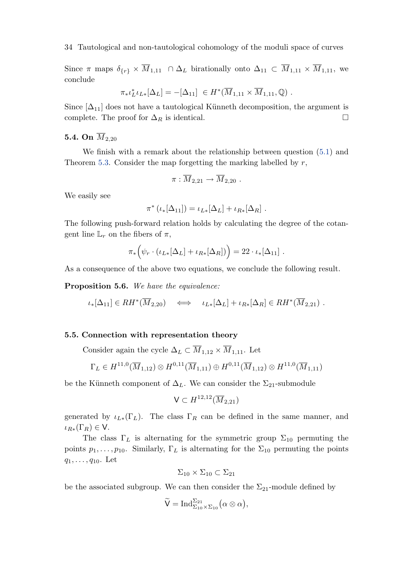Since  $\pi$  maps  $\delta_{\{r\}} \times \overline{M}_{1,11} \cap \Delta_L$  birationally onto  $\Delta_{11} \subset \overline{M}_{1,11} \times \overline{M}_{1,11}$ , we conclude

$$
\pi_* \iota_L^* \iota_{L*}[\Delta_L] = -[\Delta_{11}] \in H^*(\overline{M}_{1,11} \times \overline{M}_{1,11}, \mathbb{Q}) .
$$

Since  $[\Delta_{11}]$  does not have a tautological Künneth decomposition, the argument is complete. The proof for  $\Delta_R$  is identical.  $\Box$ 

## 5.4. On  $\overline{M}_{2,20}$

We finish with a remark about the relationship between question [\(5.1\)](#page-30-0) and Theorem [5.3.](#page-31-0) Consider the map forgetting the marking labelled by  $r$ ,

$$
\pi : \overline{M}_{2,21} \to \overline{M}_{2,20} .
$$

We easily see

$$
\pi^* (\iota_* [\Delta_{11}]) = \iota_{L*} [\Delta_L] + \iota_{R*} [\Delta_R] .
$$

The following push-forward relation holds by calculating the degree of the cotangent line  $\mathbb{L}_r$  on the fibers of  $\pi$ ,

$$
\pi_*\Big(\psi_r \cdot (\iota_{L*}[\Delta_L] + \iota_{R*}[\Delta_R])\Big) = 22 \cdot \iota_*[\Delta_{11}].
$$

As a consequence of the above two equations, we conclude the following result.

Proposition 5.6. We have the equivalence:

$$
\iota_*[\Delta_{11}] \in RH^*(\overline{M}_{2,20}) \quad \Longleftrightarrow \quad \iota_{L*}[\Delta_L] + \iota_{R*}[\Delta_R] \in RH^*(\overline{M}_{2,21}) \ .
$$

## 5.5. Connection with representation theory

Consider again the cycle  $\Delta_L\subset \overline{M}_{1,12}\times \overline{M}_{1,11}.$  Let

$$
\Gamma_L \in H^{11,0}(\overline{M}_{1,12}) \otimes H^{0,11}(\overline{M}_{1,11}) \oplus H^{0,11}(\overline{M}_{1,12}) \otimes H^{11,0}(\overline{M}_{1,11})
$$

be the Künneth component of  $\Delta_L$ . We can consider the  $\Sigma_{21}$ -submodule

$$
\mathsf{V}\subset H^{12,12}(\overline{M}_{2,21})
$$

generated by  $\iota_{L*}(\Gamma_L)$ . The class  $\Gamma_R$  can be defined in the same manner, and  $\iota_{R*}(\Gamma_R) \in V$ .

The class  $\Gamma_L$  is alternating for the symmetric group  $\Sigma_{10}$  permuting the points  $p_1, \ldots, p_{10}$ . Similarly,  $\Gamma_L$  is alternating for the  $\Sigma_{10}$  permuting the points  $q_1, \ldots, q_{10}$ . Let

$$
\Sigma_{10} \times \Sigma_{10} \subset \Sigma_{21}
$$

be the associated subgroup. We can then consider the  $\Sigma_{21}$  module defined by

$$
\widetilde{\mathsf{V}}=\mathrm{Ind}_{\Sigma_{10}\times\Sigma_{10}}^{\Sigma_{21}}\bigl(\alpha\otimes\alpha\bigr),
$$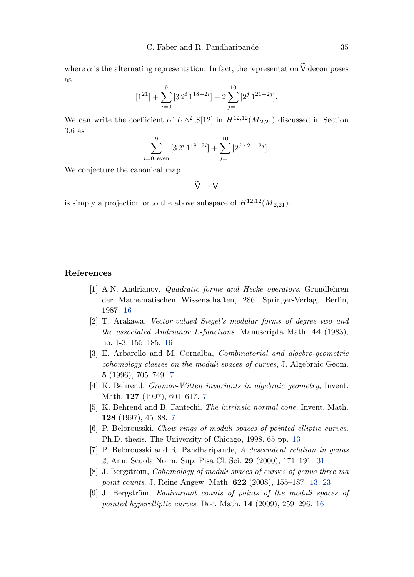<span id="page-34-0"></span>where  $\alpha$  is the alternating representation. In fact, the representation  $\widetilde{V}$  decomposes as

$$
[1^{21}] + \sum_{i=0}^{9} [3 \, 2^i \, 1^{18-2i}] + 2 \sum_{j=1}^{10} [2^j \, 1^{21-2j}].
$$

We can write the coefficient of  $L \wedge^2 S[12]$  in  $H^{12,12}(\overline{M}_{2,21})$  discussed in Section [3.6](#page-20-0) as

$$
\sum_{i=0, \text{ even}}^{9} [3 \ 2^{i} \ 1^{18-2i}] + \sum_{j=1}^{10} [2^{j} \ 1^{21-2j}].
$$

We conjecture the canonical map

 $\widetilde{V} \rightarrow V$ 

is simply a projection onto the above subspace of  $H^{12,12}(\overline{M}_{2,21})$ .

## References

- [1] A.N. Andrianov, Quadratic forms and Hecke operators. Grundlehren der Mathematischen Wissenschaften, 286. Springer-Verlag, Berlin, 1987. [16](#page-15-0)
- [2] T. Arakawa, Vector-valued Siegel's modular forms of degree two and the associated Andrianov L-functions. Manuscripta Math. 44 (1983), no. 1-3, 155–185. [16](#page-15-0)
- [3] E. Arbarello and M. Cornalba, Combinatorial and algebro-geometric cohomology classes on the moduli spaces of curves, J. Algebraic Geom. 5 (1996), 705–749. [7](#page-6-0)
- [4] K. Behrend, *Gromov-Witten invariants in algebraic geometry*, Invent. Math. 127 (1997), 601–617. [7](#page-6-0)
- [5] K. Behrend and B. Fantechi, The intrinsic normal cone, Invent. Math. 128 (1997), 45–88. [7](#page-6-0)
- [6] P. Belorousski, Chow rings of moduli spaces of pointed elliptic curves. Ph.D. thesis. The University of Chicago, 1998. 65 pp. [13](#page-12-0)
- [7] P. Belorousski and R. Pandharipande, A descendent relation in genus 2, Ann. Scuola Norm. Sup. Pisa Cl. Sci. 29 (2000), 171–191. [31](#page-30-0)
- [8] J. Bergström, Cohomology of moduli spaces of curves of genus three via point counts. J. Reine Angew. Math. 622 (2008), 155–187. [13,](#page-12-0) [23](#page-22-0)
- [9] J. Bergström, *Equivariant counts of points of the moduli spaces of* pointed hyperelliptic curves. Doc. Math. 14 (2009), 259–296. [16](#page-15-0)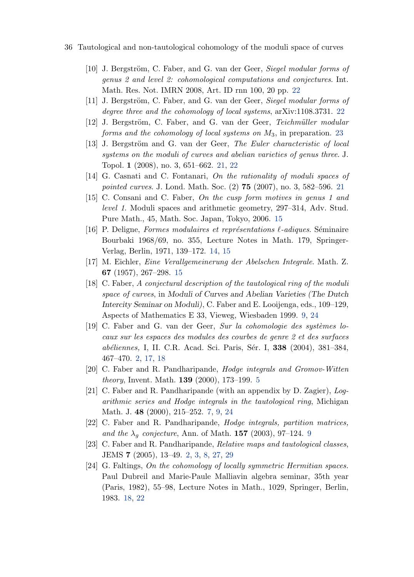- <span id="page-35-0"></span>36 Tautological and non-tautological cohomology of the moduli space of curves
	- [10] J. Bergström, C. Faber, and G. van der Geer, Siegel modular forms of genus 2 and level 2: cohomological computations and conjectures. Int. Math. Res. Not. IMRN 2008, Art. ID rnn 100, 20 pp. [22](#page-21-0)
	- [11] J. Bergström, C. Faber, and G. van der Geer, Siegel modular forms of degree three and the cohomology of local systems, arXiv:1108.3731. [22](#page-21-0)
	- [12] J. Bergström, C. Faber, and G. van der Geer, Teichmüller modular forms and the cohomology of local systems on  $M_3$ , in preparation. [23](#page-22-0)
	- [13] J. Bergström and G. van der Geer, The Euler characteristic of local systems on the moduli of curves and abelian varieties of genus three. J. Topol. 1 (2008), no. 3, 651–662. [21,](#page-20-0) [22](#page-21-0)
	- [14] G. Casnati and C. Fontanari, On the rationality of moduli spaces of pointed curves. J. Lond. Math. Soc. (2) **75** (2007), no. 3, 582–596. [21](#page-20-0)
	- [15] C. Consani and C. Faber, On the cusp form motives in genus 1 and level 1. Moduli spaces and arithmetic geometry, 297–314, Adv. Stud. Pure Math., 45, Math. Soc. Japan, Tokyo, 2006. [15](#page-14-0)
	- [16] P. Deligne, Formes modulaires et représentations  $\ell$ -adiques. Séminaire Bourbaki 1968/69, no. 355, Lecture Notes in Math. 179, Springer-Verlag, Berlin, 1971, 139–172. [14,](#page-13-0) [15](#page-14-0)
	- [17] M. Eichler, Eine Verallgemeinerung der Abelschen Integrale. Math. Z. 67 (1957), 267–298. [15](#page-14-0)
	- [18] C. Faber, A conjectural description of the tautological ring of the moduli space of curves, in Moduli of Curves and Abelian Varieties (The Dutch Intercity Seminar on Moduli), C. Faber and E. Looijenga, eds., 109–129, Aspects of Mathematics E 33, Vieweg, Wiesbaden 1999. [9,](#page-8-0) [24](#page-23-0)
	- [19] C. Faber and G. van der Geer, Sur la cohomologie des systèmes locaux sur les espaces des modules des courbes de genre 2 et des surfaces abéliennes, I, II. C.R. Acad. Sci. Paris, Sér. I, 338 (2004), 381–384, 467–470. [2,](#page-1-0) [17,](#page-16-0) [18](#page-17-0)
	- [20] C. Faber and R. Pandharipande, Hodge integrals and Gromov-Witten theory, Invent. Math. 139 (2000), 173–199. [5](#page-4-0)
	- [21] C. Faber and R. Pandharipande (with an appendix by D. Zagier), Logarithmic series and Hodge integrals in the tautological ring, Michigan Math. J. 48 (2000), 215–252. [7,](#page-6-0) [9,](#page-8-0) [24](#page-23-0)
	- [22] C. Faber and R. Pandharipande, Hodge integrals, partition matrices, and the  $\lambda_q$  conjecture, Ann. of Math. 157 (2003), [9](#page-8-0)7–124. 9
	- [23] C. Faber and R. Pandharipande, Relative maps and tautological classes, JEMS 7 (2005), 13–49. [2,](#page-1-0) [3,](#page-2-0) [8,](#page-7-0) [27,](#page-26-0) [29](#page-28-0)
	- [24] G. Faltings, On the cohomology of locally symmetric Hermitian spaces. Paul Dubreil and Marie-Paule Malliavin algebra seminar, 35th year (Paris, 1982), 55–98, Lecture Notes in Math., 1029, Springer, Berlin, 1983. [18,](#page-17-0) [22](#page-21-0)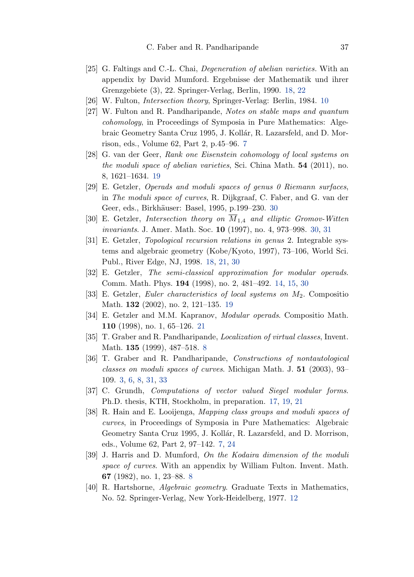- <span id="page-36-0"></span>[25] G. Faltings and C.-L. Chai, Degeneration of abelian varieties. With an appendix by David Mumford. Ergebnisse der Mathematik und ihrer Grenzgebiete (3), 22. Springer-Verlag, Berlin, 1990. [18,](#page-17-0) [22](#page-21-0)
- [26] W. Fulton, Intersection theory, Springer-Verlag: Berlin, 1984. [10](#page-9-0)
- [27] W. Fulton and R. Pandharipande, Notes on stable maps and quantum cohomology, in Proceedings of Symposia in Pure Mathematics: Algebraic Geometry Santa Cruz 1995, J. Kollár, R. Lazarsfeld, and D. Morrison, eds., Volume 62, Part 2, p.45–96. [7](#page-6-0)
- [28] G. van der Geer, Rank one Eisenstein cohomology of local systems on the moduli space of abelian varieties, Sci. China Math. 54 (2011), no. 8, 1621–1634. [19](#page-18-0)
- [29] E. Getzler, Operads and moduli spaces of genus 0 Riemann surfaces, in The moduli space of curves, R. Dijkgraaf, C. Faber, and G. van der Geer, eds., Birkhäuser: Basel, 1995, p.199–2[30](#page-29-0). 30
- [30] E. Getzler, Intersection theory on  $\overline{M}_{1,4}$  and elliptic Gromov-Witten invariants. J. Amer. Math. Soc. 10 (1997), no. 4, 973–998. [30,](#page-29-0) [31](#page-30-0)
- [31] E. Getzler, Topological recursion relations in genus 2. Integrable systems and algebraic geometry (Kobe/Kyoto, 1997), 73–106, World Sci. Publ., River Edge, NJ, 1998. [18,](#page-17-0) [21,](#page-20-0) [30](#page-29-0)
- [32] E. Getzler, The semi-classical approximation for modular operads. Comm. Math. Phys. 194 (1998), no. 2, 481–492. [14,](#page-13-0) [15,](#page-14-0) [30](#page-29-0)
- [33] E. Getzler, Euler characteristics of local systems on M2. Compositio Math. 132 (2002), no. 2, 121–135. [19](#page-18-0)
- [34] E. Getzler and M.M. Kapranov, Modular operads. Compositio Math. 110 (1998), no. 1, 65–126. [21](#page-20-0)
- [35] T. Graber and R. Pandharipande, Localization of virtual classes, Invent. Math. 135 (1999), 487–518. [8](#page-7-0)
- [36] T. Graber and R. Pandharipande, Constructions of nontautological classes on moduli spaces of curves. Michigan Math. J. 51 (2003), 93– 109. [3,](#page-2-0) [6,](#page-5-0) [8,](#page-7-0) [31,](#page-30-0) [33](#page-32-0)
- [37] C. Grundh, *Computations of vector valued Siegel modular forms*. Ph.D. thesis, KTH, Stockholm, in preparation. [17,](#page-16-0) [19,](#page-18-0) [21](#page-20-0)
- [38] R. Hain and E. Looijenga, Mapping class groups and moduli spaces of curves, in Proceedings of Symposia in Pure Mathematics: Algebraic Geometry Santa Cruz 1995, J. Kollár, R. Lazarsfeld, and D. Morrison, eds., Volume 62, Part 2, 97–142. [7,](#page-6-0) [24](#page-23-0)
- [39] J. Harris and D. Mumford, On the Kodaira dimension of the moduli space of curves. With an appendix by William Fulton. Invent. Math. 67 (1982), no. 1, 23–88. [8](#page-7-0)
- [40] R. Hartshorne, Algebraic geometry. Graduate Texts in Mathematics, No. 52. Springer-Verlag, New York-Heidelberg, 1977. [12](#page-11-0)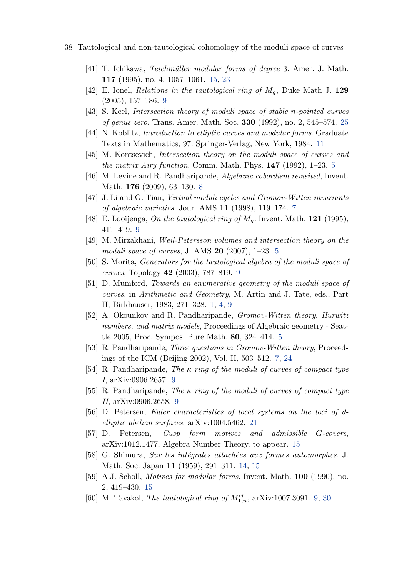- <span id="page-37-0"></span>38 Tautological and non-tautological cohomology of the moduli space of curves
	- [41] T. Ichikawa, *Teichmüller modular forms of degree* 3. Amer. J. Math. 117 (1995), no. 4, 1057–1061. [15,](#page-14-0) [23](#page-22-0)
	- [42] E. Ionel, Relations in the tautological ring of  $M_q$ , Duke Math J. 129 (2005), 157–186. [9](#page-8-0)
	- [43] S. Keel, *Intersection theory of moduli space of stable n-pointed curves* of genus zero. Trans. Amer. Math. Soc. 330 (1992), no. 2, 545–574. [25](#page-24-0)
	- [44] N. Koblitz, *Introduction to elliptic curves and modular forms*. Graduate Texts in Mathematics, 97. Springer-Verlag, New York, 1984. [11](#page-10-0)
	- [45] M. Kontsevich, Intersection theory on the moduli space of curves and the matrix Airy function, Comm. Math. Phys.  $147$  (1992), 1–23. [5](#page-4-0)
	- [46] M. Levine and R. Pandharipande, *Algebraic cobordism revisited*, Invent. Math. 176 (2009), 63–130. [8](#page-7-0)
	- [47] J. Li and G. Tian, Virtual moduli cycles and Gromov-Witten invariants of algebraic varieties, Jour. AMS 11 (1998), 119–174. [7](#page-6-0)
	- [48] E. Looijenga, On the tautological ring of  $M<sub>g</sub>$ . Invent. Math. **121** (1995), 411–419. [9](#page-8-0)
	- [49] M. Mirzakhani, Weil-Petersson volumes and intersection theory on the moduli space of curves, J. AMS 20 (2007), 1–23. [5](#page-4-0)
	- [50] S. Morita, Generators for the tautological algebra of the moduli space of curves, Topology 42 (2003), 787–819. [9](#page-8-0)
	- [51] D. Mumford, Towards an enumerative geometry of the moduli space of curves, in Arithmetic and Geometry, M. Artin and J. Tate, eds., Part II, Birkhäuser, 1983, 271–328. [1,](#page-0-0) [4,](#page-3-0) [9](#page-8-0)
	- [52] A. Okounkov and R. Pandharipande, Gromov-Witten theory, Hurwitz numbers, and matrix models, Proceedings of Algebraic geometry - Seattle 2005, Proc. Sympos. Pure Math. 80, 324–414. [5](#page-4-0)
	- [53] R. Pandharipande, Three questions in Gromov-Witten theory, Proceedings of the ICM (Beijing 2002), Vol. II, 503–512. [7,](#page-6-0) [24](#page-23-0)
	- [54] R. Pandharipande, The  $\kappa$  ring of the moduli of curves of compact type I, arXiv:0906.2657. [9](#page-8-0)
	- [55] R. Pandharipande, The κ ring of the moduli of curves of compact type II, arXiv:0906.2658. [9](#page-8-0)
	- [56] D. Petersen, Euler characteristics of local systems on the loci of delliptic abelian surfaces, arXiv:1004.5462. [21](#page-20-0)
	- [57] D. Petersen, Cusp form motives and admissible G-covers, arXiv:1012.1477, Algebra Number Theory, to appear. [15](#page-14-0)
	- [58] G. Shimura, Sur les intégrales attachées aux formes automorphes. J. Math. Soc. Japan 11 (1959), 291–311. [14,](#page-13-0) [15](#page-14-0)
	- [59] A.J. Scholl, Motives for modular forms. Invent. Math. 100 (1990), no. 2, 419–430. [15](#page-14-0)
	- [60] M. Tavakol, *The tautological ring of*  $M_{1,n}^{ct}$ , arXiv:1007.3091. [9,](#page-8-0) [30](#page-29-0)